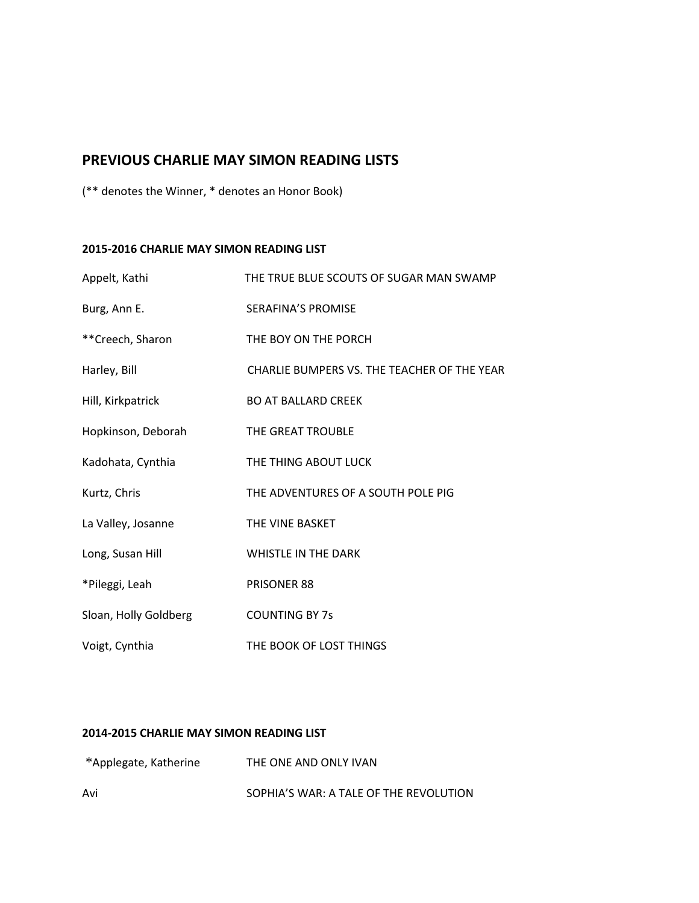# **PREVIOUS CHARLIE MAY SIMON READING LISTS**

(\*\* denotes the Winner, \* denotes an Honor Book)

## **2015-2016 CHARLIE MAY SIMON READING LIST**

| Appelt, Kathi         | THE TRUE BLUE SCOUTS OF SUGAR MAN SWAMP     |
|-----------------------|---------------------------------------------|
| Burg, Ann E.          | SERAFINA'S PROMISE                          |
| **Creech, Sharon      | THE BOY ON THE PORCH                        |
| Harley, Bill          | CHARLIE BUMPERS VS. THE TEACHER OF THE YEAR |
| Hill, Kirkpatrick     | <b>BO AT BALLARD CREEK</b>                  |
| Hopkinson, Deborah    | THE GREAT TROUBLE                           |
| Kadohata, Cynthia     | THE THING ABOUT LUCK                        |
| Kurtz, Chris          | THE ADVENTURES OF A SOUTH POLE PIG          |
| La Valley, Josanne    | THE VINE BASKET                             |
| Long, Susan Hill      | <b>WHISTLE IN THE DARK</b>                  |
| *Pileggi, Leah        | PRISONER 88                                 |
| Sloan, Holly Goldberg | <b>COUNTING BY 7s</b>                       |
| Voigt, Cynthia        | THE BOOK OF LOST THINGS                     |

## **2014-2015 CHARLIE MAY SIMON READING LIST**

| *Applegate, Katherine | THE ONE AND ONLY IVAN                  |
|-----------------------|----------------------------------------|
| Avi                   | SOPHIA'S WAR: A TALE OF THE REVOLUTION |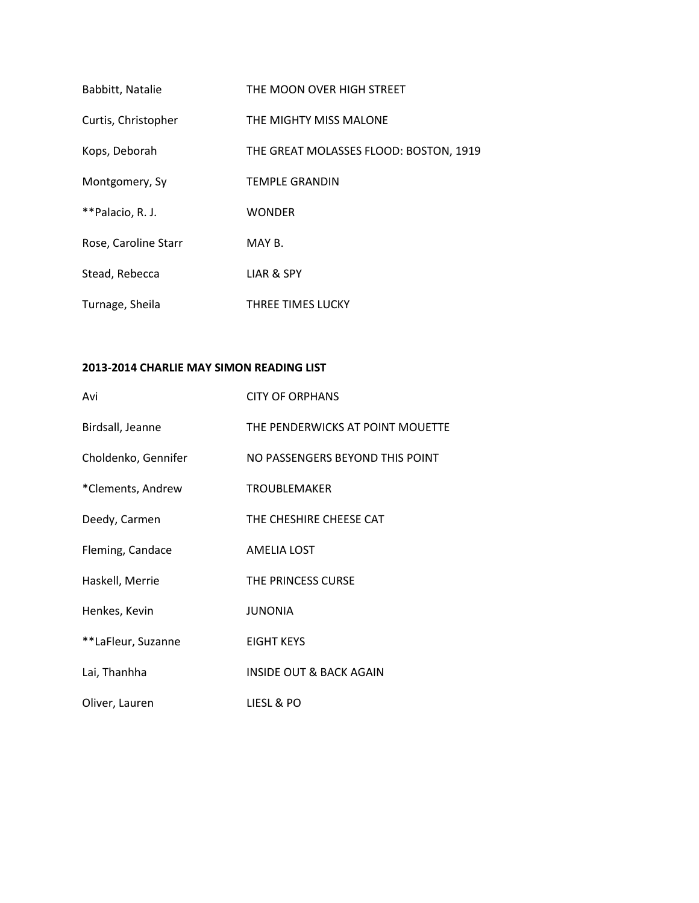| Babbitt, Natalie     | THE MOON OVER HIGH STREET              |
|----------------------|----------------------------------------|
| Curtis, Christopher  | THE MIGHTY MISS MALONE                 |
| Kops, Deborah        | THE GREAT MOLASSES FLOOD: BOSTON, 1919 |
| Montgomery, Sy       | <b>TEMPLE GRANDIN</b>                  |
| **Palacio, R. J.     | <b>WONDER</b>                          |
| Rose, Caroline Starr | MAY B.                                 |
| Stead, Rebecca       | LIAR & SPY                             |
| Turnage, Sheila      | THREE TIMES LUCKY                      |

#### **2013-2014 CHARLIE MAY SIMON READING LIST**

| Avi                 | <b>CITY OF ORPHANS</b>             |
|---------------------|------------------------------------|
| Birdsall, Jeanne    | THE PENDERWICKS AT POINT MOUETTE   |
| Choldenko, Gennifer | NO PASSENGERS BEYOND THIS POINT    |
| *Clements, Andrew   | <b>TROUBLEMAKER</b>                |
| Deedy, Carmen       | THE CHESHIRE CHEESE CAT            |
| Fleming, Candace    | <b>AMELIA LOST</b>                 |
| Haskell, Merrie     | THE PRINCESS CURSE                 |
| Henkes, Kevin       | <b>JUNONIA</b>                     |
| **LaFleur, Suzanne  | EIGHT KEYS                         |
| Lai, Thanhha        | <b>INSIDE OUT &amp; BACK AGAIN</b> |
| Oliver, Lauren      | LIESL & PO                         |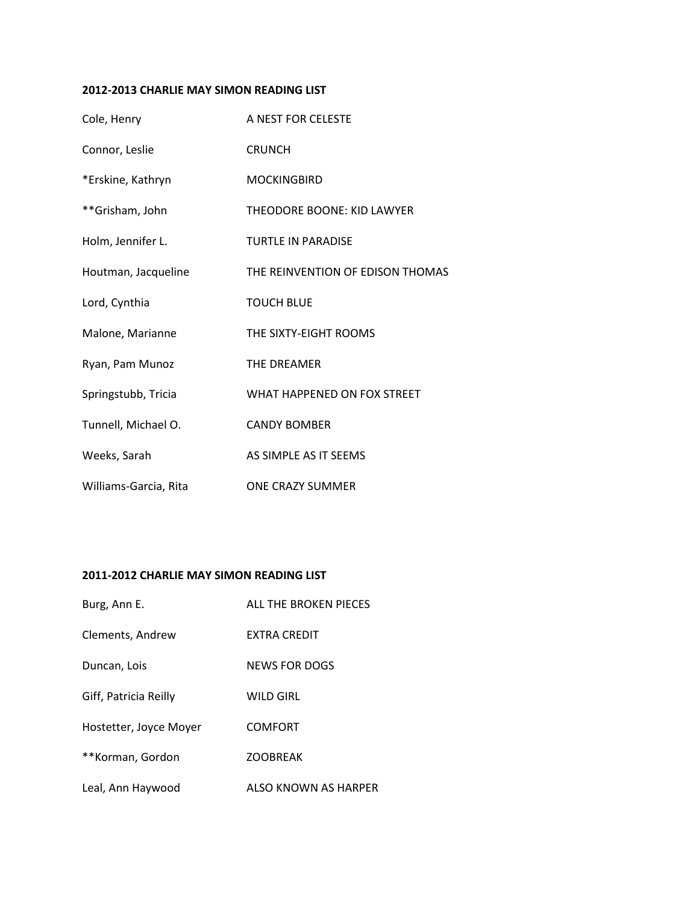## **2012-2013 CHARLIE MAY SIMON READING LIST**

| Cole, Henry           | A NEST FOR CELESTE               |
|-----------------------|----------------------------------|
| Connor, Leslie        | <b>CRUNCH</b>                    |
| *Erskine, Kathryn     | <b>MOCKINGBIRD</b>               |
| **Grisham, John       | THEODORE BOONE: KID LAWYER       |
| Holm, Jennifer L.     | <b>TURTLE IN PARADISE</b>        |
| Houtman, Jacqueline   | THE REINVENTION OF EDISON THOMAS |
| Lord, Cynthia         | <b>TOUCH BLUE</b>                |
| Malone, Marianne      | THE SIXTY-EIGHT ROOMS            |
| Ryan, Pam Munoz       | THE DREAMER                      |
| Springstubb, Tricia   | WHAT HAPPENED ON FOX STREET      |
| Tunnell, Michael O.   | <b>CANDY BOMBER</b>              |
| Weeks, Sarah          | AS SIMPLE AS IT SEEMS            |
| Williams-Garcia, Rita | <b>ONE CRAZY SUMMER</b>          |

## **2011-2012 CHARLIE MAY SIMON READING LIST**

| Burg, Ann E.           | ALL THE BROKEN PIECES |
|------------------------|-----------------------|
| Clements, Andrew       | <b>FXTRA CREDIT</b>   |
| Duncan, Lois           | NEWS FOR DOGS         |
| Giff, Patricia Reilly  | <b>WILD GIRL</b>      |
| Hostetter, Joyce Moyer | <b>COMFORT</b>        |
| **Korman, Gordon       | <b>ZOOBREAK</b>       |
| Leal, Ann Haywood      | ALSO KNOWN AS HARPER  |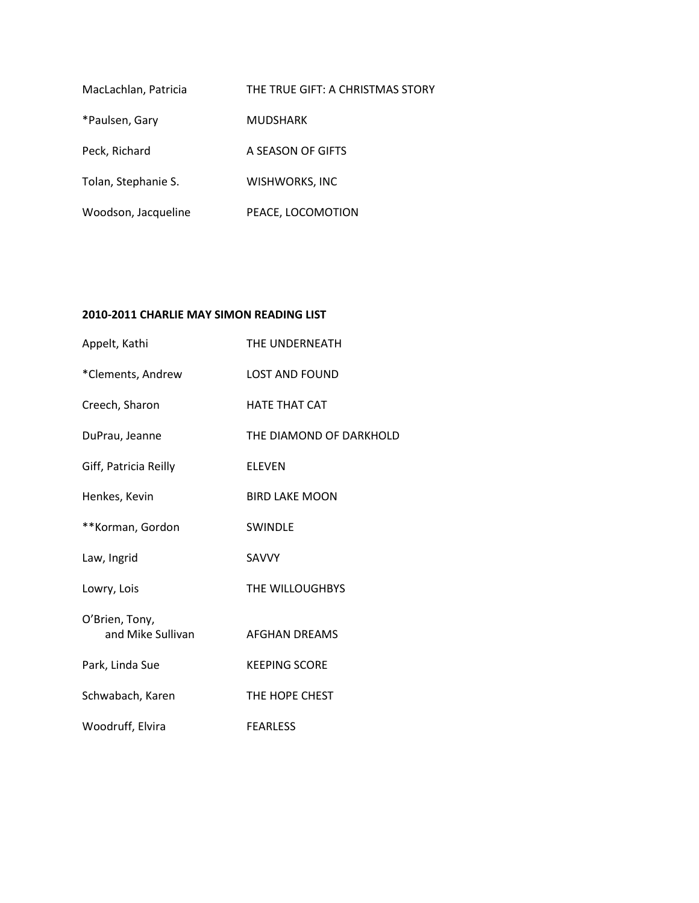| MacLachlan, Patricia | THE TRUE GIFT: A CHRISTMAS STORY |
|----------------------|----------------------------------|
| *Paulsen, Gary       | <b>MUDSHARK</b>                  |
| Peck, Richard        | A SEASON OF GIFTS                |
| Tolan, Stephanie S.  | WISHWORKS, INC                   |
| Woodson, Jacqueline  | PEACE, LOCOMOTION                |

# **2010-2011 CHARLIE MAY SIMON READING LIST**

| Appelt, Kathi                       | THE UNDERNEATH          |
|-------------------------------------|-------------------------|
| *Clements, Andrew                   | <b>LOST AND FOUND</b>   |
| Creech, Sharon                      | <b>HATE THAT CAT</b>    |
| DuPrau, Jeanne                      | THE DIAMOND OF DARKHOLD |
| Giff, Patricia Reilly               | <b>ELEVEN</b>           |
| Henkes, Kevin                       | <b>BIRD LAKE MOON</b>   |
| **Korman, Gordon                    | <b>SWINDLE</b>          |
| Law, Ingrid                         | SAVVY                   |
| Lowry, Lois                         | THE WILLOUGHBYS         |
| O'Brien, Tony,<br>and Mike Sullivan | <b>AFGHAN DREAMS</b>    |
| Park, Linda Sue                     | <b>KEEPING SCORE</b>    |
| Schwabach, Karen                    | THE HOPE CHEST          |
| Woodruff, Elvira                    | <b>FEARLESS</b>         |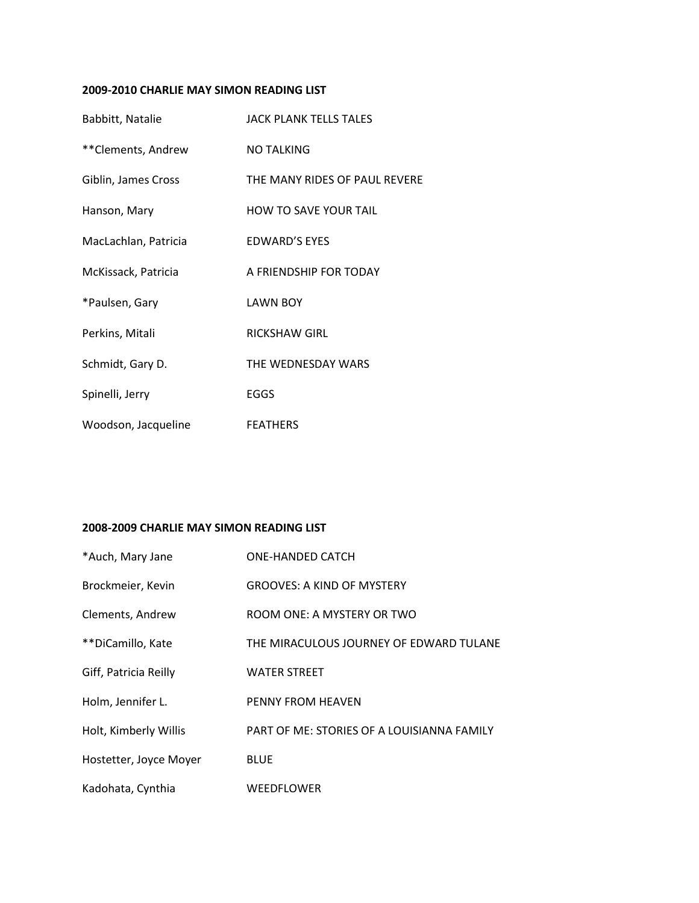## **2009-2010 CHARLIE MAY SIMON READING LIST**

| Babbitt, Natalie     | JACK PLANK TELLS TALES        |
|----------------------|-------------------------------|
| **Clements, Andrew   | <b>NO TALKING</b>             |
| Giblin, James Cross  | THE MANY RIDES OF PAUL REVERE |
| Hanson, Mary         | <b>HOW TO SAVE YOUR TAIL</b>  |
| MacLachlan, Patricia | <b>EDWARD'S EYES</b>          |
| McKissack, Patricia  | A FRIENDSHIP FOR TODAY        |
| *Paulsen, Gary       | <b>LAWN BOY</b>               |
| Perkins, Mitali      | RICKSHAW GIRL                 |
| Schmidt, Gary D.     | THE WEDNESDAY WARS            |
| Spinelli, Jerry      | <b>EGGS</b>                   |
| Woodson, Jacqueline  | <b>FEATHERS</b>               |

## **2008-2009 CHARLIE MAY SIMON READING LIST**

| *Auch, Mary Jane       | <b>ONE-HANDED CATCH</b>                    |
|------------------------|--------------------------------------------|
| Brockmeier, Kevin      | <b>GROOVES: A KIND OF MYSTERY</b>          |
| Clements, Andrew       | ROOM ONE: A MYSTERY OR TWO                 |
| **DiCamillo, Kate      | THE MIRACULOUS JOURNEY OF EDWARD TULANE    |
| Giff, Patricia Reilly  | <b>WATER STREET</b>                        |
| Holm, Jennifer L.      | <b>PENNY FROM HEAVEN</b>                   |
| Holt, Kimberly Willis  | PART OF ME: STORIES OF A LOUISIANNA FAMILY |
| Hostetter, Joyce Moyer | <b>BLUE</b>                                |
| Kadohata, Cynthia      | <b>WEEDFLOWER</b>                          |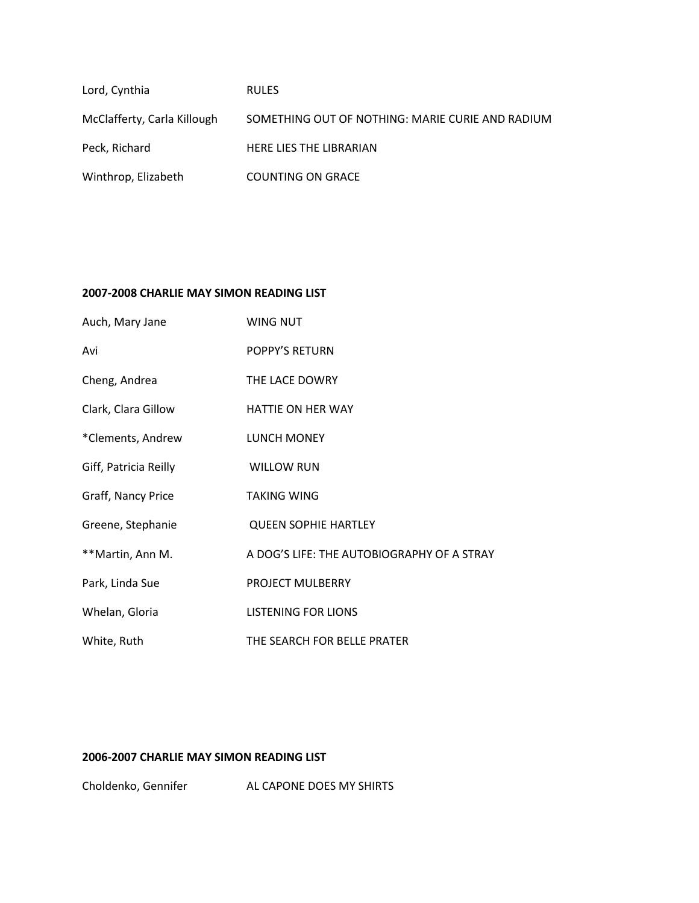| Lord, Cynthia               | <b>RULES</b>                                     |
|-----------------------------|--------------------------------------------------|
| McClafferty, Carla Killough | SOMETHING OUT OF NOTHING: MARIE CURIE AND RADIUM |
| Peck, Richard               | HERE LIES THE LIBRARIAN                          |
| Winthrop, Elizabeth         | <b>COUNTING ON GRACE</b>                         |

#### **2007-2008 CHARLIE MAY SIMON READING LIST**

| Auch, Mary Jane       | <b>WING NUT</b>                            |
|-----------------------|--------------------------------------------|
| Avi                   | POPPY'S RETURN                             |
| Cheng, Andrea         | THE LACE DOWRY                             |
| Clark, Clara Gillow   | HATTIE ON HER WAY                          |
| *Clements, Andrew     | <b>LUNCH MONEY</b>                         |
| Giff, Patricia Reilly | <b>WILLOW RUN</b>                          |
| Graff, Nancy Price    | <b>TAKING WING</b>                         |
| Greene, Stephanie     | <b>QUEEN SOPHIE HARTLEY</b>                |
| **Martin, Ann M.      | A DOG'S LIFE: THE AUTOBIOGRAPHY OF A STRAY |
| Park, Linda Sue       | PROJECT MULBERRY                           |
| Whelan, Gloria        | <b>LISTENING FOR LIONS</b>                 |
| White, Ruth           | THE SEARCH FOR BELLE PRATER                |

#### **2006-2007 CHARLIE MAY SIMON READING LIST**

Choldenko, Gennifer AL CAPONE DOES MY SHIRTS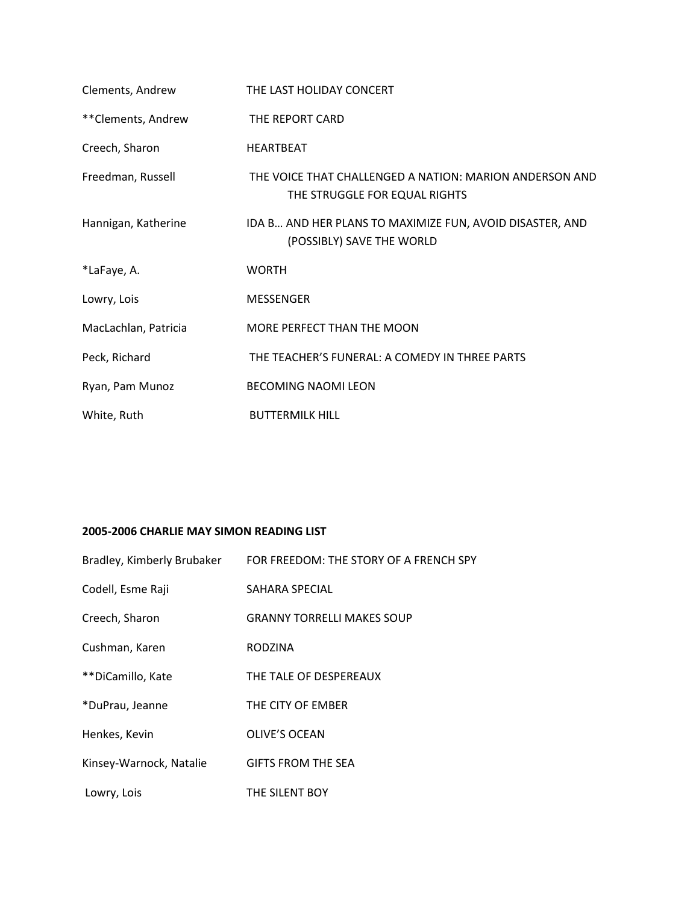| Clements, Andrew     | THE LAST HOLIDAY CONCERT                                                                 |
|----------------------|------------------------------------------------------------------------------------------|
| **Clements, Andrew   | THE REPORT CARD                                                                          |
| Creech, Sharon       | <b>HEARTBEAT</b>                                                                         |
| Freedman, Russell    | THE VOICE THAT CHALLENGED A NATION: MARION ANDERSON AND<br>THE STRUGGLE FOR EQUAL RIGHTS |
| Hannigan, Katherine  | IDA B AND HER PLANS TO MAXIMIZE FUN, AVOID DISASTER, AND<br>(POSSIBLY) SAVE THE WORLD    |
|                      |                                                                                          |
| *LaFaye, A.          | <b>WORTH</b>                                                                             |
| Lowry, Lois          | <b>MESSENGER</b>                                                                         |
| MacLachlan, Patricia | MORE PERFECT THAN THE MOON                                                               |
| Peck, Richard        | THE TEACHER'S FUNERAL: A COMEDY IN THREE PARTS                                           |
| Ryan, Pam Munoz      | <b>BECOMING NAOMI LEON</b>                                                               |

## **2005-2006 CHARLIE MAY SIMON READING LIST**

| Bradley, Kimberly Brubaker | FOR FREEDOM: THE STORY OF A FRENCH SPY |
|----------------------------|----------------------------------------|
| Codell, Esme Raji          | SAHARA SPECIAL                         |
| Creech, Sharon             | <b>GRANNY TORRELLI MAKES SOUP</b>      |
| Cushman, Karen             | RODZINA                                |
| **DiCamillo, Kate          | THE TALE OF DESPEREAUX                 |
| *DuPrau, Jeanne            | THE CITY OF EMBER                      |
| Henkes, Kevin              | <b>OLIVE'S OCEAN</b>                   |
| Kinsey-Warnock, Natalie    | <b>GIFTS FROM THE SEA</b>              |
| Lowry, Lois                | THE SILENT BOY                         |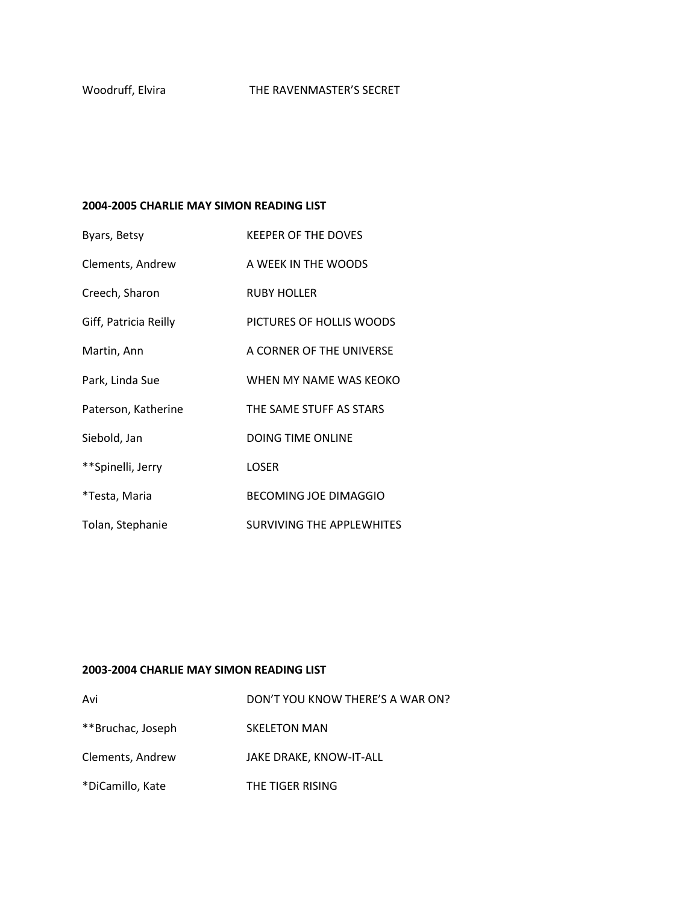#### **2004-2005 CHARLIE MAY SIMON READING LIST**

| Byars, Betsy          | <b>KEEPER OF THE DOVES</b>   |
|-----------------------|------------------------------|
| Clements, Andrew      | A WEEK IN THE WOODS          |
| Creech, Sharon        | <b>RUBY HOLLER</b>           |
| Giff, Patricia Reilly | PICTURES OF HOLLIS WOODS     |
| Martin, Ann           | A CORNER OF THE UNIVERSE     |
| Park, Linda Sue       | WHEN MY NAME WAS KEOKO       |
| Paterson, Katherine   | THE SAME STUFF AS STARS      |
| Siebold, Jan          | <b>DOING TIME ONLINE</b>     |
| **Spinelli, Jerry     | LOSER                        |
| *Testa, Maria         | <b>BECOMING JOE DIMAGGIO</b> |
| Tolan, Stephanie      | SURVIVING THE APPLEWHITES    |

#### **2003-2004 CHARLIE MAY SIMON READING LIST**

| Avi               | DON'T YOU KNOW THERE'S A WAR ON? |
|-------------------|----------------------------------|
| **Bruchac, Joseph | <b>SKELETON MAN</b>              |
| Clements, Andrew  | JAKE DRAKE, KNOW-IT-ALL          |
| *DiCamillo, Kate  | THE TIGER RISING                 |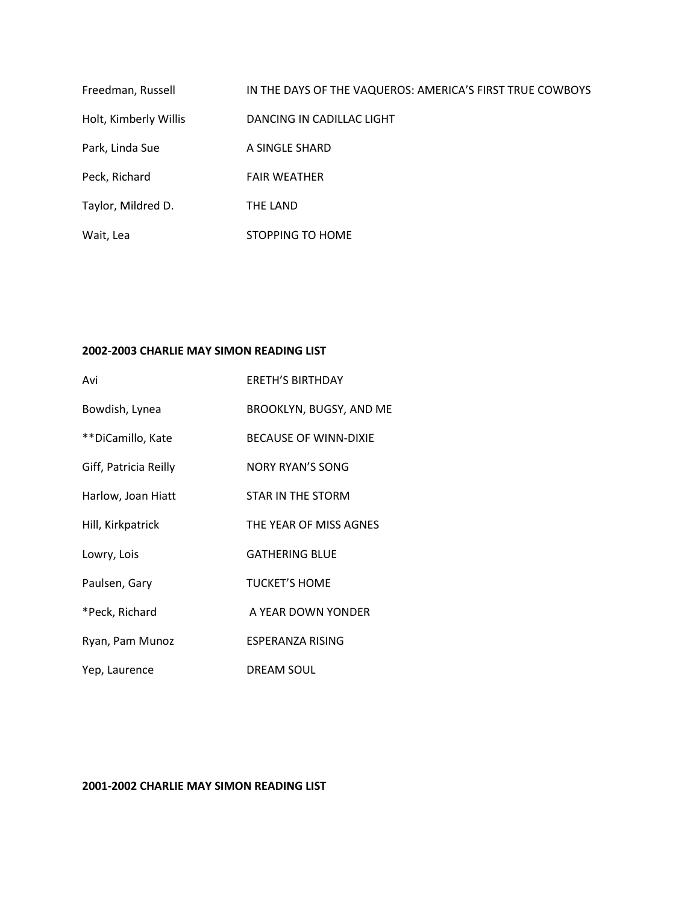| Freedman, Russell     | IN THE DAYS OF THE VAQUEROS: AMERICA'S FIRST TRUE COWBOYS |
|-----------------------|-----------------------------------------------------------|
| Holt, Kimberly Willis | DANCING IN CADILLAC LIGHT                                 |
| Park, Linda Sue       | A SINGLE SHARD                                            |
| Peck, Richard         | <b>FAIR WEATHER</b>                                       |
| Taylor, Mildred D.    | THE LAND                                                  |
| Wait, Lea             | STOPPING TO HOME                                          |

#### **2002-2003 CHARLIE MAY SIMON READING LIST**

| Avi                   | <b>ERETH'S BIRTHDAY</b>      |
|-----------------------|------------------------------|
| Bowdish, Lynea        | BROOKLYN, BUGSY, AND ME      |
| **DiCamillo, Kate     | <b>BECAUSE OF WINN-DIXIE</b> |
| Giff, Patricia Reilly | <b>NORY RYAN'S SONG</b>      |
| Harlow, Joan Hiatt    | <b>STAR IN THE STORM</b>     |
| Hill, Kirkpatrick     | THE YEAR OF MISS AGNES       |
| Lowry, Lois           | <b>GATHERING BLUE</b>        |
| Paulsen, Gary         | <b>TUCKET'S HOME</b>         |
| *Peck, Richard        | A YEAR DOWN YONDER           |
| Ryan, Pam Munoz       | ESPERANZA RISING             |
| Yep, Laurence         | <b>DREAM SOUL</b>            |

## **2001-2002 CHARLIE MAY SIMON READING LIST**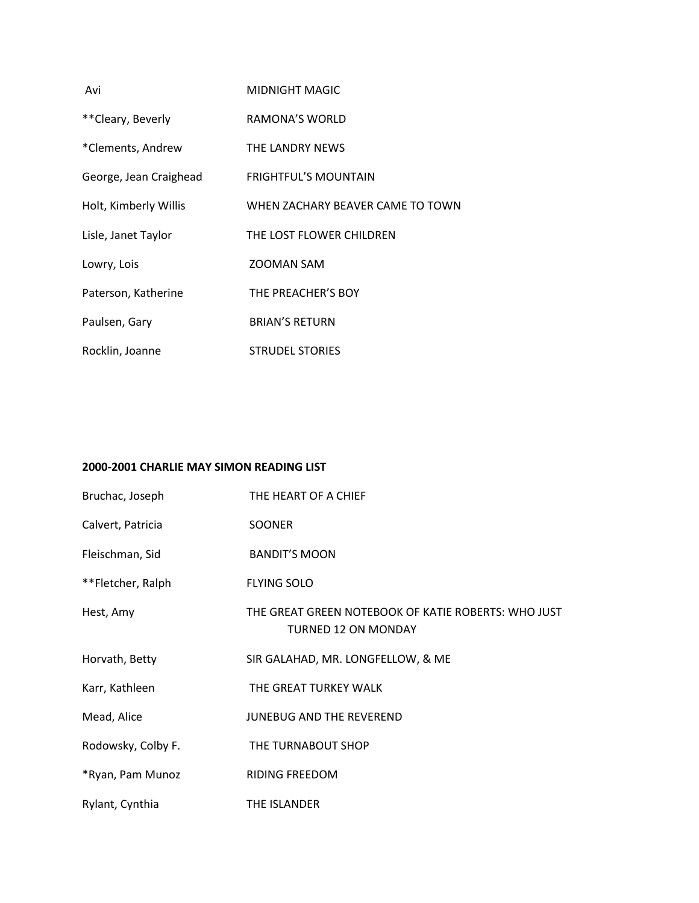| Avi                    | MIDNIGHT MAGIC                   |
|------------------------|----------------------------------|
| **Cleary, Beverly      | RAMONA'S WORLD                   |
| *Clements, Andrew      | THE LANDRY NEWS                  |
| George, Jean Craighead | <b>FRIGHTFUL'S MOUNTAIN</b>      |
| Holt, Kimberly Willis  | WHEN ZACHARY BEAVER CAME TO TOWN |
| Lisle, Janet Taylor    | THE LOST FLOWER CHILDREN         |
| Lowry, Lois            | <b>ZOOMAN SAM</b>                |
| Paterson, Katherine    | THE PREACHER'S BOY               |
| Paulsen, Gary          | <b>BRIAN'S RETURN</b>            |
| Rocklin, Joanne        | <b>STRUDEL STORIES</b>           |

#### **2000-2001 CHARLIE MAY SIMON READING LIST**

| Bruchac, Joseph    | THE HEART OF A CHIEF                                                              |
|--------------------|-----------------------------------------------------------------------------------|
| Calvert, Patricia  | <b>SOONER</b>                                                                     |
| Fleischman, Sid    | <b>BANDIT'S MOON</b>                                                              |
| **Fletcher, Ralph  | <b>FLYING SOLO</b>                                                                |
| Hest, Amy          | THE GREAT GREEN NOTEBOOK OF KATIE ROBERTS: WHO JUST<br><b>TURNED 12 ON MONDAY</b> |
| Horvath, Betty     | SIR GALAHAD, MR. LONGFELLOW, & ME                                                 |
| Karr, Kathleen     | THE GREAT TURKEY WALK                                                             |
| Mead, Alice        | JUNEBUG AND THE REVEREND                                                          |
| Rodowsky, Colby F. | THE TURNABOUT SHOP                                                                |
| *Ryan, Pam Munoz   | RIDING FREEDOM                                                                    |
| Rylant, Cynthia    | THE ISLANDER                                                                      |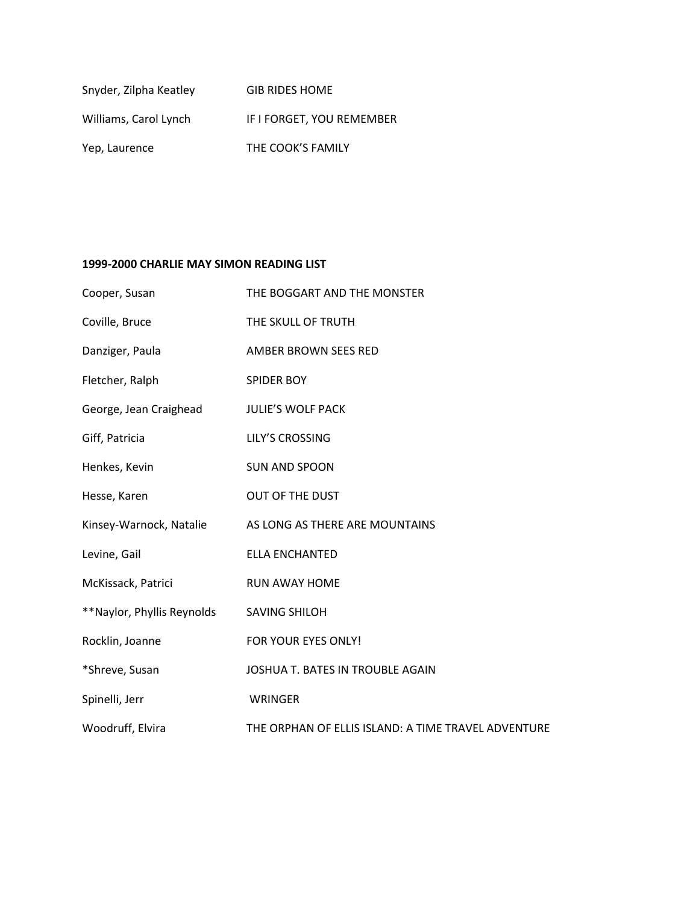| Snyder, Zilpha Keatley | <b>GIB RIDES HOME</b>     |
|------------------------|---------------------------|
| Williams, Carol Lynch  | IF I FORGET. YOU REMEMBER |
| Yep, Laurence          | THE COOK'S FAMILY         |

## **1999-2000 CHARLIE MAY SIMON READING LIST**

| Cooper, Susan              | THE BOGGART AND THE MONSTER                         |
|----------------------------|-----------------------------------------------------|
| Coville, Bruce             | THE SKULL OF TRUTH                                  |
| Danziger, Paula            | <b>AMBER BROWN SEES RED</b>                         |
| Fletcher, Ralph            | <b>SPIDER BOY</b>                                   |
| George, Jean Craighead     | <b>JULIE'S WOLF PACK</b>                            |
| Giff, Patricia             | <b>LILY'S CROSSING</b>                              |
| Henkes, Kevin              | <b>SUN AND SPOON</b>                                |
| Hesse, Karen               | OUT OF THE DUST                                     |
| Kinsey-Warnock, Natalie    | AS LONG AS THERE ARE MOUNTAINS                      |
| Levine, Gail               | <b>ELLA ENCHANTED</b>                               |
| McKissack, Patrici         | <b>RUN AWAY HOME</b>                                |
| **Naylor, Phyllis Reynolds | <b>SAVING SHILOH</b>                                |
| Rocklin, Joanne            | FOR YOUR EYES ONLY!                                 |
| *Shreve, Susan             | JOSHUA T. BATES IN TROUBLE AGAIN                    |
| Spinelli, Jerr             | WRINGER                                             |
| Woodruff, Elvira           | THE ORPHAN OF ELLIS ISLAND: A TIME TRAVEL ADVENTURE |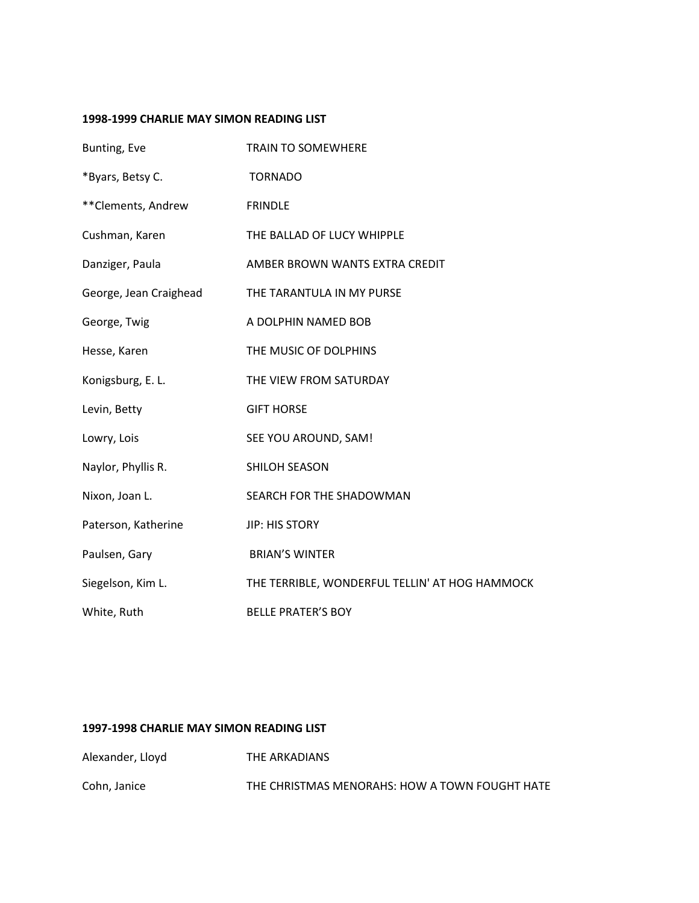## **1998-1999 CHARLIE MAY SIMON READING LIST**

| Bunting, Eve           | <b>TRAIN TO SOMEWHERE</b>                      |
|------------------------|------------------------------------------------|
| *Byars, Betsy C.       | <b>TORNADO</b>                                 |
| ** Clements, Andrew    | <b>FRINDLE</b>                                 |
| Cushman, Karen         | THE BALLAD OF LUCY WHIPPLE                     |
| Danziger, Paula        | AMBER BROWN WANTS EXTRA CREDIT                 |
| George, Jean Craighead | THE TARANTULA IN MY PURSE                      |
| George, Twig           | A DOLPHIN NAMED BOB                            |
| Hesse, Karen           | THE MUSIC OF DOLPHINS                          |
| Konigsburg, E. L.      | THE VIEW FROM SATURDAY                         |
| Levin, Betty           | <b>GIFT HORSE</b>                              |
| Lowry, Lois            | SEE YOU AROUND, SAM!                           |
| Naylor, Phyllis R.     | SHILOH SEASON                                  |
| Nixon, Joan L.         | SEARCH FOR THE SHADOWMAN                       |
| Paterson, Katherine    | JIP: HIS STORY                                 |
| Paulsen, Gary          | <b>BRIAN'S WINTER</b>                          |
| Siegelson, Kim L.      | THE TERRIBLE, WONDERFUL TELLIN' AT HOG HAMMOCK |
| White, Ruth            | <b>BELLE PRATER'S BOY</b>                      |

## **1997-1998 CHARLIE MAY SIMON READING LIST**

| Alexander, Lloyd | THE ARKADIANS                                  |
|------------------|------------------------------------------------|
| Cohn, Janice     | THE CHRISTMAS MENORAHS: HOW A TOWN FOUGHT HATE |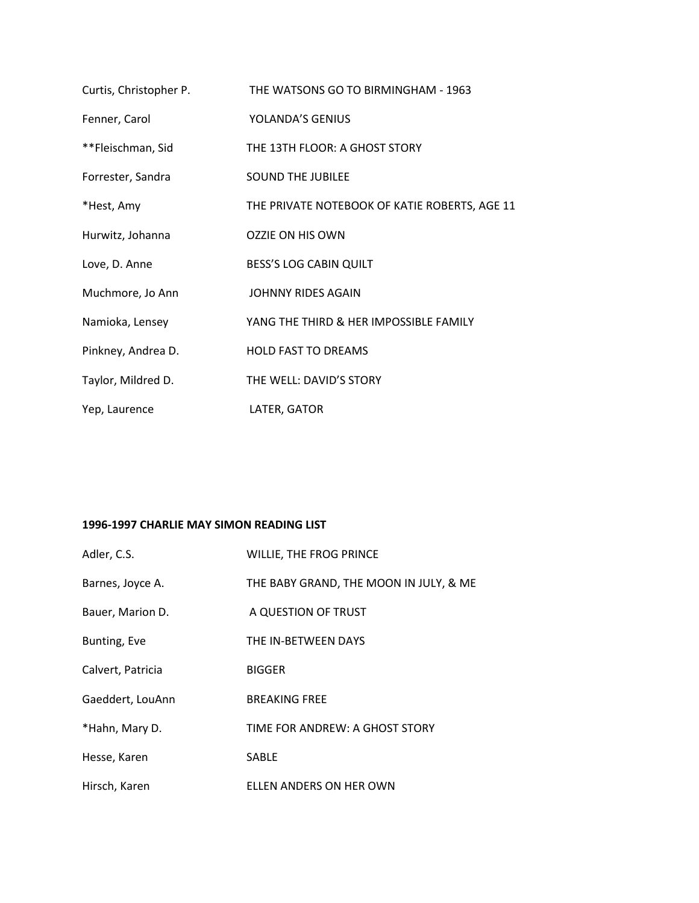| Curtis, Christopher P. | THE WATSONS GO TO BIRMINGHAM - 1963           |
|------------------------|-----------------------------------------------|
| Fenner, Carol          | YOLANDA'S GENIUS                              |
| **Fleischman, Sid      | THE 13TH FLOOR: A GHOST STORY                 |
| Forrester, Sandra      | <b>SOUND THE JUBILEE</b>                      |
| *Hest, Amy             | THE PRIVATE NOTEBOOK OF KATIE ROBERTS, AGE 11 |
| Hurwitz, Johanna       | OZZIE ON HIS OWN                              |
| Love, D. Anne          | <b>BESS'S LOG CABIN QUILT</b>                 |
| Muchmore, Jo Ann       | <b>JOHNNY RIDES AGAIN</b>                     |
| Namioka, Lensey        | YANG THE THIRD & HER IMPOSSIBLE FAMILY        |
| Pinkney, Andrea D.     | <b>HOLD FAST TO DREAMS</b>                    |
| Taylor, Mildred D.     | THE WELL: DAVID'S STORY                       |
| Yep, Laurence          | LATER, GATOR                                  |

## **1996-1997 CHARLIE MAY SIMON READING LIST**

| Adler, C.S.       | WILLIE, THE FROG PRINCE                |
|-------------------|----------------------------------------|
| Barnes, Joyce A.  | THE BABY GRAND, THE MOON IN JULY, & ME |
| Bauer, Marion D.  | A QUESTION OF TRUST                    |
| Bunting, Eve      | THE IN-BETWEEN DAYS                    |
| Calvert, Patricia | <b>BIGGER</b>                          |
| Gaeddert, LouAnn  | <b>BREAKING FREE</b>                   |
| *Hahn, Mary D.    | TIME FOR ANDREW: A GHOST STORY         |
| Hesse, Karen      | <b>SABLE</b>                           |
| Hirsch, Karen     | ELLEN ANDERS ON HER OWN                |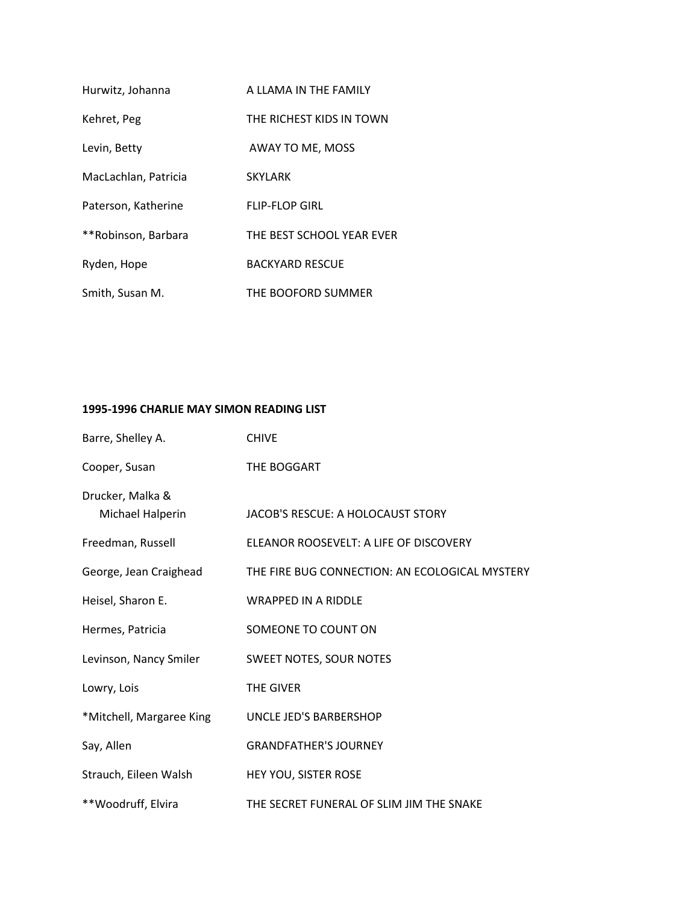| Hurwitz, Johanna     | A LLAMA IN THE FAMILY     |
|----------------------|---------------------------|
| Kehret, Peg          | THE RICHEST KIDS IN TOWN  |
| Levin, Betty         | AWAY TO ME, MOSS          |
| MacLachlan, Patricia | <b>SKYLARK</b>            |
| Paterson, Katherine  | <b>FLIP-FLOP GIRL</b>     |
| **Robinson, Barbara  | THE BEST SCHOOL YEAR EVER |
| Ryden, Hope          | <b>BACKYARD RESCUE</b>    |
| Smith, Susan M.      | THE BOOFORD SUMMER        |

## **1995-1996 CHARLIE MAY SIMON READING LIST**

| Barre, Shelley A.                    | <b>CHIVE</b>                                   |
|--------------------------------------|------------------------------------------------|
| Cooper, Susan                        | THE BOGGART                                    |
| Drucker, Malka &<br>Michael Halperin | JACOB'S RESCUE: A HOLOCAUST STORY              |
| Freedman, Russell                    | ELEANOR ROOSEVELT: A LIFE OF DISCOVERY         |
| George, Jean Craighead               | THE FIRE BUG CONNECTION: AN ECOLOGICAL MYSTERY |
| Heisel, Sharon E.                    | <b>WRAPPED IN A RIDDLE</b>                     |
| Hermes, Patricia                     | SOMEONE TO COUNT ON                            |
| Levinson, Nancy Smiler               | SWEET NOTES, SOUR NOTES                        |
| Lowry, Lois                          | THE GIVER                                      |
| *Mitchell, Margaree King             | UNCLE JED'S BARBERSHOP                         |
| Say, Allen                           | <b>GRANDFATHER'S JOURNEY</b>                   |
| Strauch, Eileen Walsh                | HEY YOU, SISTER ROSE                           |
| **Woodruff, Elvira                   | THE SECRET FUNERAL OF SLIM JIM THE SNAKE       |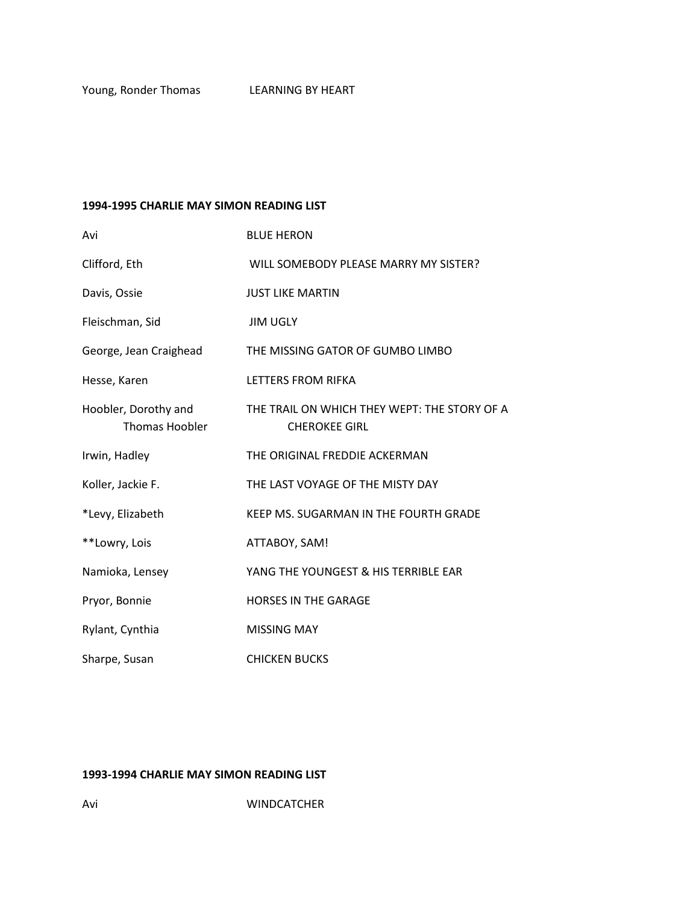### **1994-1995 CHARLIE MAY SIMON READING LIST**

| Avi                                           | <b>BLUE HERON</b>                                                    |
|-----------------------------------------------|----------------------------------------------------------------------|
| Clifford, Eth                                 | WILL SOMEBODY PLEASE MARRY MY SISTER?                                |
| Davis, Ossie                                  | <b>JUST LIKE MARTIN</b>                                              |
| Fleischman, Sid                               | <b>JIM UGLY</b>                                                      |
| George, Jean Craighead                        | THE MISSING GATOR OF GUMBO LIMBO                                     |
| Hesse, Karen                                  | LETTERS FROM RIFKA                                                   |
| Hoobler, Dorothy and<br><b>Thomas Hoobler</b> | THE TRAIL ON WHICH THEY WEPT: THE STORY OF A<br><b>CHEROKEE GIRL</b> |
| Irwin, Hadley                                 | THE ORIGINAL FREDDIE ACKERMAN                                        |
| Koller, Jackie F.                             | THE LAST VOYAGE OF THE MISTY DAY                                     |
| *Levy, Elizabeth                              | KEEP MS. SUGARMAN IN THE FOURTH GRADE                                |
| **Lowry, Lois                                 | ATTABOY, SAM!                                                        |
| Namioka, Lensey                               | YANG THE YOUNGEST & HIS TERRIBLE EAR                                 |
| Pryor, Bonnie                                 | <b>HORSES IN THE GARAGE</b>                                          |
| Rylant, Cynthia                               | <b>MISSING MAY</b>                                                   |
| Sharpe, Susan                                 | <b>CHICKEN BUCKS</b>                                                 |

## **1993-1994 CHARLIE MAY SIMON READING LIST**

Avi WINDCATCHER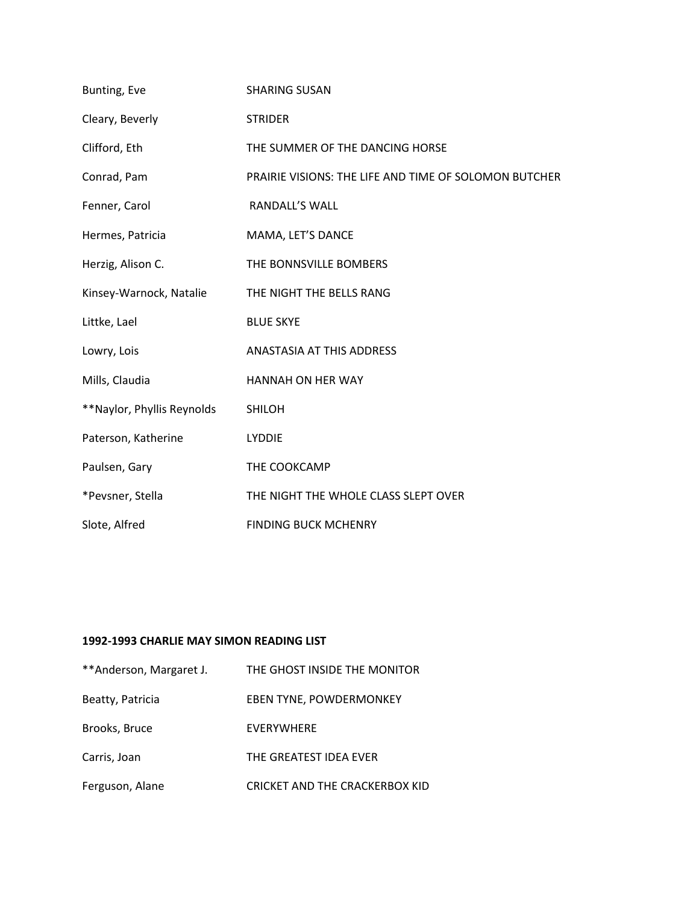| Bunting, Eve               | <b>SHARING SUSAN</b>                                  |
|----------------------------|-------------------------------------------------------|
| Cleary, Beverly            | <b>STRIDER</b>                                        |
| Clifford, Eth              | THE SUMMER OF THE DANCING HORSE                       |
| Conrad, Pam                | PRAIRIE VISIONS: THE LIFE AND TIME OF SOLOMON BUTCHER |
| Fenner, Carol              | RANDALL'S WALL                                        |
| Hermes, Patricia           | MAMA, LET'S DANCE                                     |
| Herzig, Alison C.          | THE BONNSVILLE BOMBERS                                |
| Kinsey-Warnock, Natalie    | THE NIGHT THE BELLS RANG                              |
| Littke, Lael               | <b>BLUE SKYE</b>                                      |
| Lowry, Lois                | ANASTASIA AT THIS ADDRESS                             |
| Mills, Claudia             | <b>HANNAH ON HER WAY</b>                              |
| **Naylor, Phyllis Reynolds | <b>SHILOH</b>                                         |
| Paterson, Katherine        | <b>LYDDIE</b>                                         |
| Paulsen, Gary              | THE COOKCAMP                                          |
| *Pevsner, Stella           | THE NIGHT THE WHOLE CLASS SLEPT OVER                  |
| Slote, Alfred              | <b>FINDING BUCK MCHENRY</b>                           |

## **1992-1993 CHARLIE MAY SIMON READING LIST**

| **Anderson, Margaret J. | THE GHOST INSIDE THE MONITOR   |
|-------------------------|--------------------------------|
| Beatty, Patricia        | <b>EBEN TYNE, POWDERMONKEY</b> |
| Brooks, Bruce           | <b>FVFRYWHFRF</b>              |
| Carris, Joan            | THE GREATEST IDEA EVER         |
| Ferguson, Alane         | CRICKET AND THE CRACKERBOX KID |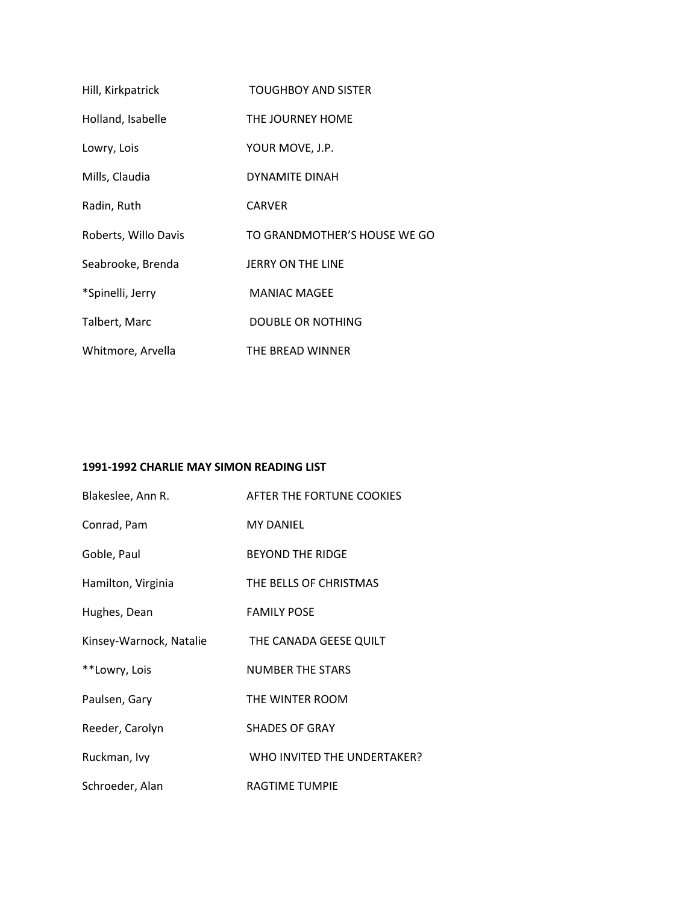| Hill, Kirkpatrick    | <b>TOUGHBOY AND SISTER</b>   |
|----------------------|------------------------------|
| Holland, Isabelle    | THE JOURNEY HOME             |
| Lowry, Lois          | YOUR MOVE, J.P.              |
| Mills, Claudia       | <b>DYNAMITE DINAH</b>        |
| Radin, Ruth          | <b>CARVER</b>                |
| Roberts, Willo Davis | TO GRANDMOTHER'S HOUSE WE GO |
| Seabrooke, Brenda    | JERRY ON THE LINE            |
| *Spinelli, Jerry     | <b>MANIAC MAGEE</b>          |
| Talbert, Marc        | <b>DOUBLE OR NOTHING</b>     |
| Whitmore, Arvella    | THE BREAD WINNER             |

#### **1991-1992 CHARLIE MAY SIMON READING LIST**

| Blakeslee, Ann R.       | AFTER THE FORTUNE COOKIES   |
|-------------------------|-----------------------------|
| Conrad, Pam             | <b>MY DANIEL</b>            |
| Goble, Paul             | <b>BEYOND THE RIDGE</b>     |
| Hamilton, Virginia      | THE BELLS OF CHRISTMAS      |
| Hughes, Dean            | <b>FAMILY POSE</b>          |
| Kinsey-Warnock, Natalie | THE CANADA GEESE QUILT      |
| **Lowry, Lois           | <b>NUMBER THE STARS</b>     |
| Paulsen, Gary           | THE WINTER ROOM             |
| Reeder, Carolyn         | <b>SHADES OF GRAY</b>       |
| Ruckman, Ivy            | WHO INVITED THE UNDERTAKER? |
| Schroeder, Alan         | RAGTIME TUMPIE              |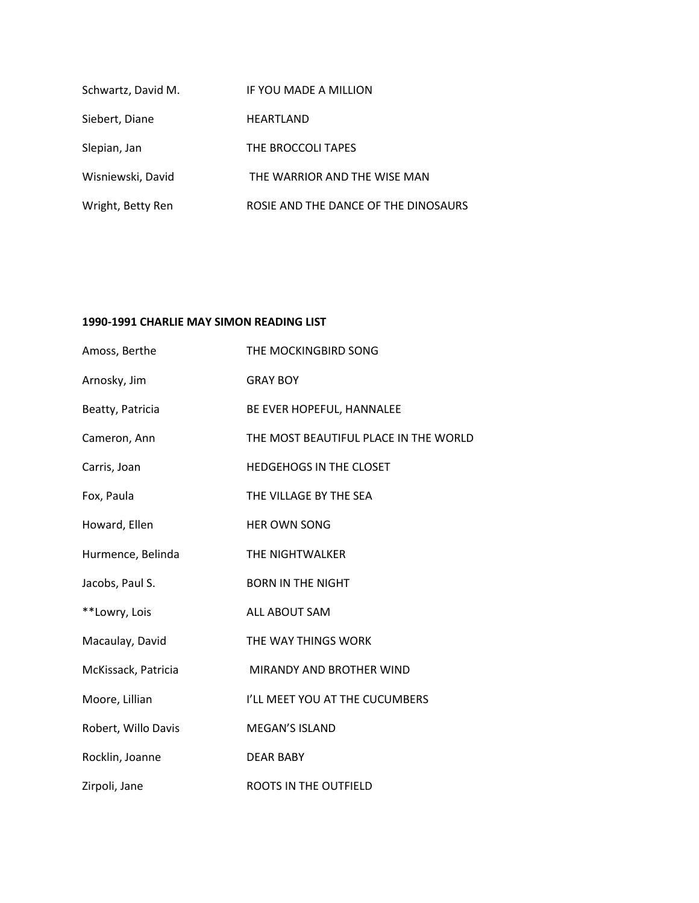| Schwartz, David M. | IF YOU MADE A MILLION                |
|--------------------|--------------------------------------|
| Siebert, Diane     | HEARTLAND                            |
| Slepian, Jan       | THE BROCCOLI TAPES                   |
| Wisniewski, David  | THE WARRIOR AND THE WISE MAN         |
| Wright, Betty Ren  | ROSIE AND THE DANCE OF THE DINOSAURS |

## **1990-1991 CHARLIE MAY SIMON READING LIST**

| Amoss, Berthe       | THE MOCKINGBIRD SONG                  |
|---------------------|---------------------------------------|
| Arnosky, Jim        | <b>GRAY BOY</b>                       |
| Beatty, Patricia    | BE EVER HOPEFUL, HANNALEE             |
| Cameron, Ann        | THE MOST BEAUTIFUL PLACE IN THE WORLD |
| Carris, Joan        | <b>HEDGEHOGS IN THE CLOSET</b>        |
| Fox, Paula          | THE VILLAGE BY THE SEA                |
| Howard, Ellen       | <b>HER OWN SONG</b>                   |
| Hurmence, Belinda   | THE NIGHTWALKER                       |
| Jacobs, Paul S.     | <b>BORN IN THE NIGHT</b>              |
| **Lowry, Lois       | ALL ABOUT SAM                         |
| Macaulay, David     | THE WAY THINGS WORK                   |
| McKissack, Patricia | MIRANDY AND BROTHER WIND              |
| Moore, Lillian      | I'LL MEET YOU AT THE CUCUMBERS        |
| Robert, Willo Davis | <b>MEGAN'S ISLAND</b>                 |
| Rocklin, Joanne     | <b>DEAR BABY</b>                      |
| Zirpoli, Jane       | <b>ROOTS IN THE OUTFIELD</b>          |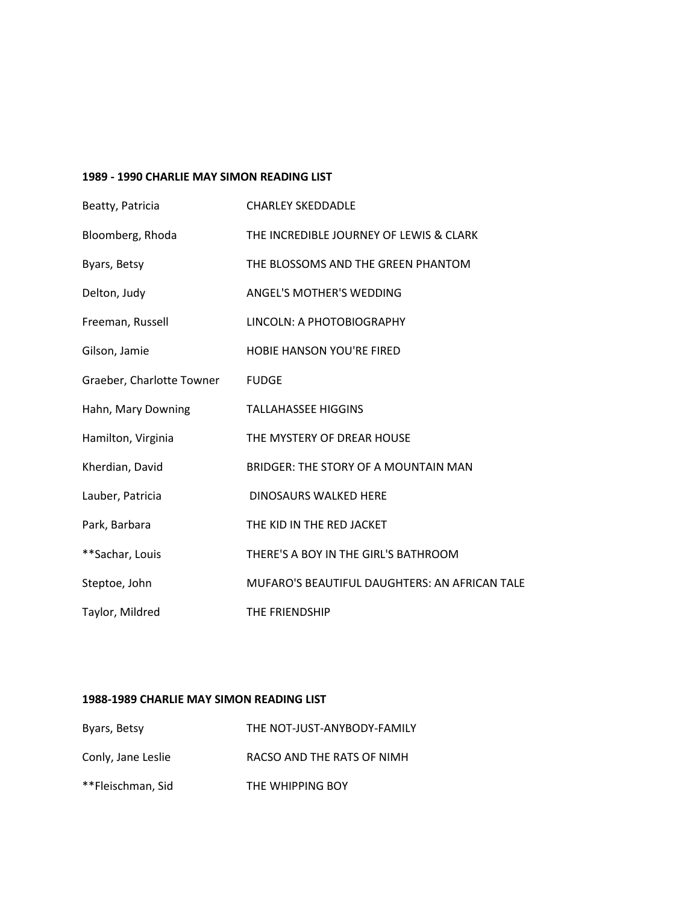### **1989 - 1990 CHARLIE MAY SIMON READING LIST**

| Beatty, Patricia          | <b>CHARLEY SKEDDADLE</b>                      |
|---------------------------|-----------------------------------------------|
| Bloomberg, Rhoda          | THE INCREDIBLE JOURNEY OF LEWIS & CLARK       |
| Byars, Betsy              | THE BLOSSOMS AND THE GREEN PHANTOM            |
| Delton, Judy              | ANGEL'S MOTHER'S WEDDING                      |
| Freeman, Russell          | LINCOLN: A PHOTOBIOGRAPHY                     |
| Gilson, Jamie             | <b>HOBIE HANSON YOU'RE FIRED</b>              |
| Graeber, Charlotte Towner | <b>FUDGE</b>                                  |
| Hahn, Mary Downing        | <b>TALLAHASSEE HIGGINS</b>                    |
| Hamilton, Virginia        | THE MYSTERY OF DREAR HOUSE                    |
| Kherdian, David           | BRIDGER: THE STORY OF A MOUNTAIN MAN          |
| Lauber, Patricia          | <b>DINOSAURS WALKED HERE</b>                  |
| Park, Barbara             | THE KID IN THE RED JACKET                     |
| **Sachar, Louis           | THERE'S A BOY IN THE GIRL'S BATHROOM          |
| Steptoe, John             | MUFARO'S BEAUTIFUL DAUGHTERS: AN AFRICAN TALE |
| Taylor, Mildred           | THE FRIENDSHIP                                |

## **1988-1989 CHARLIE MAY SIMON READING LIST**

| Byars, Betsy       | THE NOT-JUST-ANYBODY-FAMILY |
|--------------------|-----------------------------|
| Conly, Jane Leslie | RACSO AND THE RATS OF NIMH  |
| **Fleischman, Sid  | THE WHIPPING BOY            |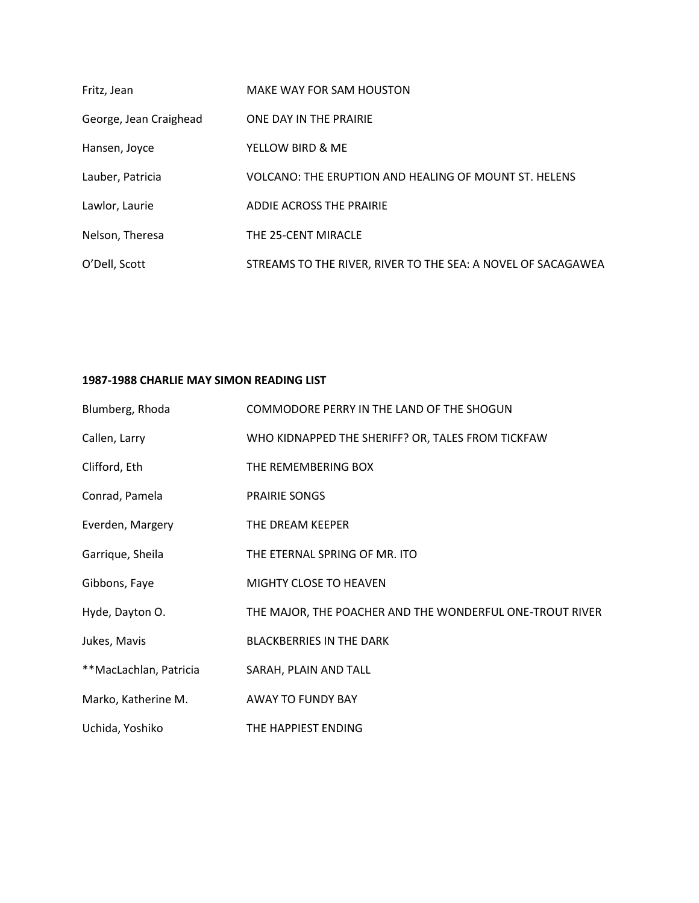| Fritz, Jean            | MAKE WAY FOR SAM HOUSTON                                     |
|------------------------|--------------------------------------------------------------|
| George, Jean Craighead | ONE DAY IN THE PRAIRIE                                       |
| Hansen, Joyce          | YELLOW BIRD & ME                                             |
| Lauber, Patricia       | VOLCANO: THE ERUPTION AND HEALING OF MOUNT ST. HELENS        |
| Lawlor, Laurie         | <b>ADDIE ACROSS THE PRAIRIE</b>                              |
| Nelson, Theresa        | THE 25-CENT MIRACLE                                          |
| O'Dell, Scott          | STREAMS TO THE RIVER, RIVER TO THE SEA: A NOVEL OF SACAGAWEA |

## **1987-1988 CHARLIE MAY SIMON READING LIST**

| Blumberg, Rhoda        | COMMODORE PERRY IN THE LAND OF THE SHOGUN                |
|------------------------|----------------------------------------------------------|
| Callen, Larry          | WHO KIDNAPPED THE SHERIFF? OR, TALES FROM TICKFAW        |
| Clifford, Eth          | THE REMEMBERING BOX                                      |
| Conrad, Pamela         | <b>PRAIRIE SONGS</b>                                     |
| Everden, Margery       | THE DREAM KEEPER                                         |
| Garrique, Sheila       | THE ETERNAL SPRING OF MR. ITO                            |
| Gibbons, Faye          | <b>MIGHTY CLOSE TO HEAVEN</b>                            |
| Hyde, Dayton O.        | THE MAJOR, THE POACHER AND THE WONDERFUL ONE-TROUT RIVER |
| Jukes, Mavis           | <b>BLACKBERRIES IN THE DARK</b>                          |
| **MacLachlan, Patricia | SARAH, PLAIN AND TALL                                    |
| Marko, Katherine M.    | AWAY TO FUNDY BAY                                        |
| Uchida, Yoshiko        | THE HAPPIEST ENDING                                      |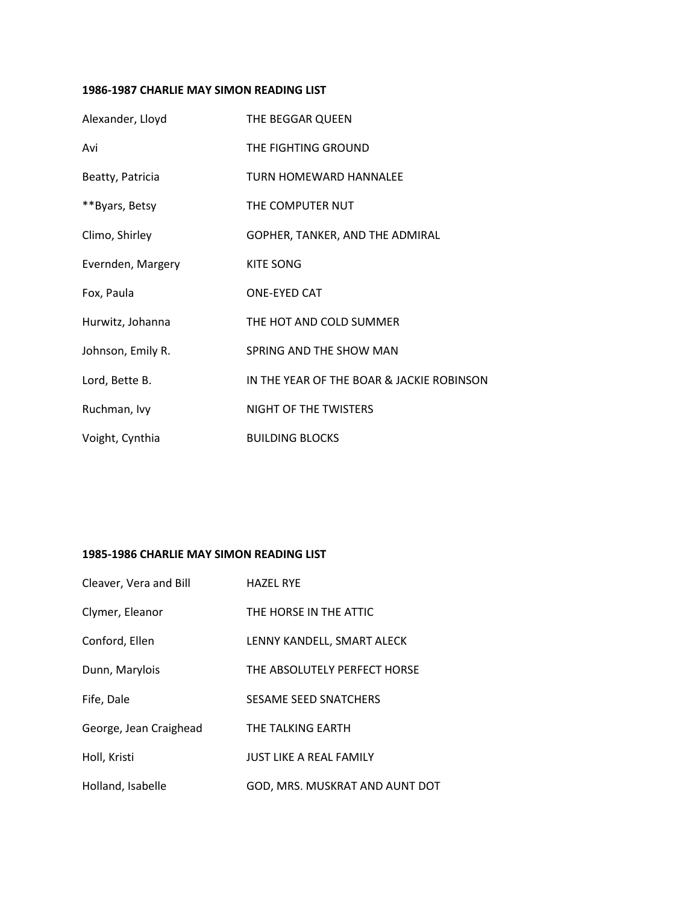## **1986-1987 CHARLIE MAY SIMON READING LIST**

| Alexander, Lloyd  | THE BEGGAR QUEEN                          |
|-------------------|-------------------------------------------|
| Avi               | THE FIGHTING GROUND                       |
| Beatty, Patricia  | TURN HOMEWARD HANNALFF                    |
| **Byars, Betsy    | THE COMPUTER NUT                          |
| Climo, Shirley    | GOPHER, TANKER, AND THE ADMIRAL           |
| Evernden, Margery | <b>KITE SONG</b>                          |
| Fox, Paula        | <b>ONE-EYED CAT</b>                       |
| Hurwitz, Johanna  | THE HOT AND COLD SUMMER                   |
| Johnson, Emily R. | SPRING AND THE SHOW MAN                   |
| Lord, Bette B.    | IN THE YEAR OF THE BOAR & JACKIE ROBINSON |
| Ruchman, Ivy      | NIGHT OF THE TWISTERS                     |
| Voight, Cynthia   | <b>BUILDING BLOCKS</b>                    |

### **1985-1986 CHARLIE MAY SIMON READING LIST**

| Cleaver, Vera and Bill | <b>HAZFL RYF</b>               |
|------------------------|--------------------------------|
| Clymer, Eleanor        | THE HORSE IN THE ATTIC         |
| Conford, Ellen         | LENNY KANDELL, SMART ALECK     |
| Dunn, Marylois         | THE ABSOLUTELY PERFECT HORSE   |
| Fife, Dale             | <b>SESAME SEED SNATCHERS</b>   |
| George, Jean Craighead | THE TALKING EARTH              |
| Holl, Kristi           | <b>JUST LIKE A REAL FAMILY</b> |
| Holland, Isabelle      | GOD, MRS. MUSKRAT AND AUNT DOT |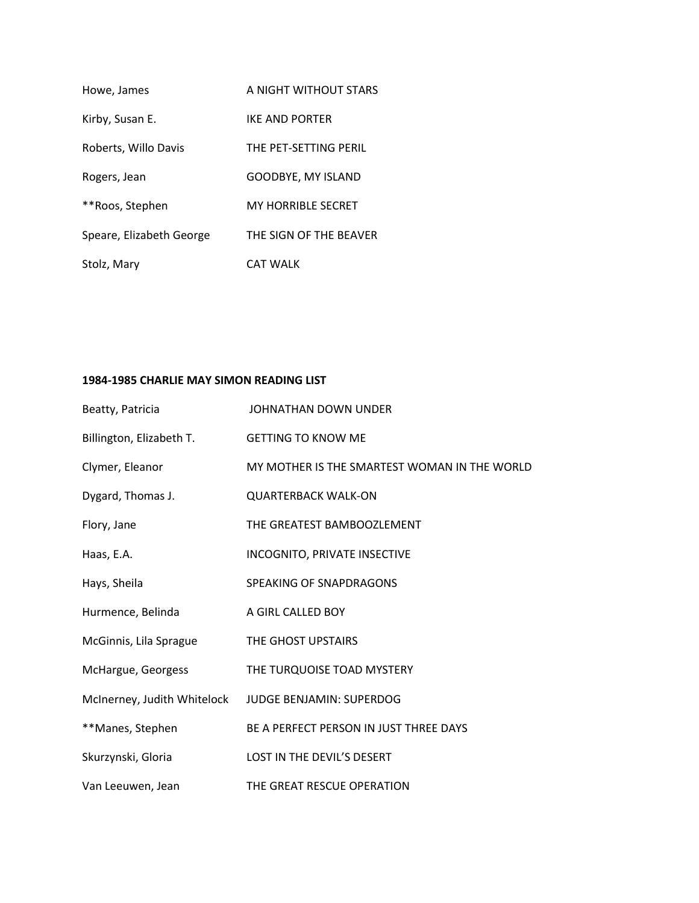| Howe, James              | A NIGHT WITHOUT STARS     |
|--------------------------|---------------------------|
| Kirby, Susan E.          | <b>IKF AND PORTER</b>     |
| Roberts, Willo Davis     | THE PET-SETTING PERIL     |
| Rogers, Jean             | GOODBYE, MY ISLAND        |
| **Roos, Stephen          | <b>MY HORRIBLE SECRET</b> |
| Speare, Elizabeth George | THE SIGN OF THE BEAVER    |
| Stolz, Mary              | CAT WALK                  |

## **1984-1985 CHARLIE MAY SIMON READING LIST**

| Beatty, Patricia            | JOHNATHAN DOWN UNDER                         |
|-----------------------------|----------------------------------------------|
| Billington, Elizabeth T.    | <b>GETTING TO KNOW ME</b>                    |
| Clymer, Eleanor             | MY MOTHER IS THE SMARTEST WOMAN IN THE WORLD |
| Dygard, Thomas J.           | <b>QUARTERBACK WALK-ON</b>                   |
| Flory, Jane                 | THE GREATEST BAMBOOZLEMENT                   |
| Haas, E.A.                  | <b>INCOGNITO, PRIVATE INSECTIVE</b>          |
| Hays, Sheila                | SPEAKING OF SNAPDRAGONS                      |
| Hurmence, Belinda           | A GIRL CALLED BOY                            |
| McGinnis, Lila Sprague      | THE GHOST UPSTAIRS                           |
| McHargue, Georgess          | THE TURQUOISE TOAD MYSTERY                   |
| McInerney, Judith Whitelock | <b>JUDGE BENJAMIN: SUPERDOG</b>              |
| **Manes, Stephen            | BE A PERFECT PERSON IN JUST THREE DAYS       |
| Skurzynski, Gloria          | <b>LOST IN THE DEVIL'S DESERT</b>            |
| Van Leeuwen, Jean           | THE GREAT RESCUE OPERATION                   |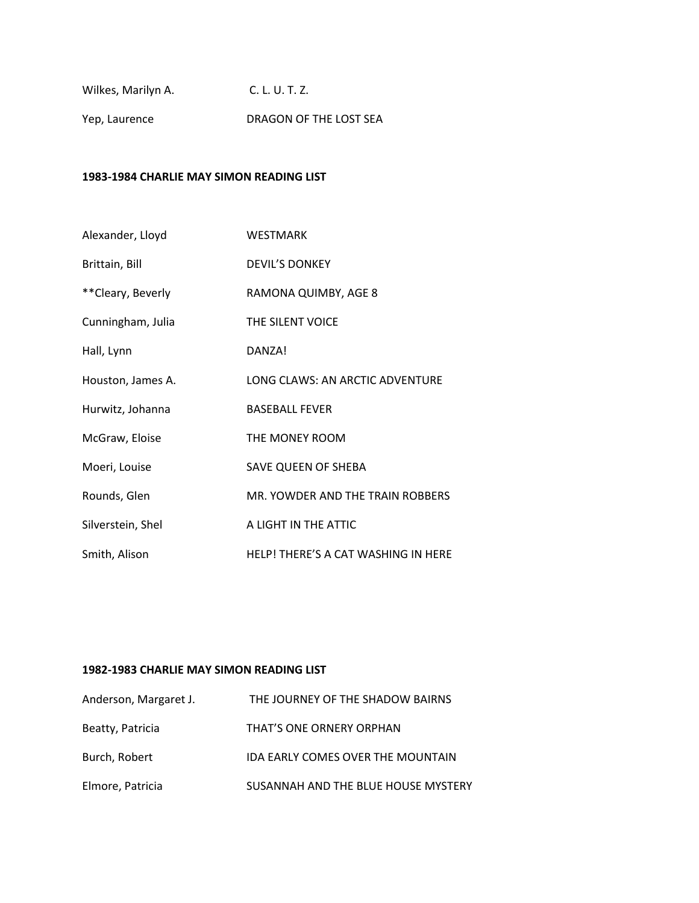| Wilkes, Marilyn A. | C. L. U. T. Z. |
|--------------------|----------------|
|--------------------|----------------|

Yep, Laurence **DRAGON OF THE LOST SEA** 

### **1983-1984 CHARLIE MAY SIMON READING LIST**

| Alexander, Lloyd  | <b>WESTMARK</b>                     |
|-------------------|-------------------------------------|
| Brittain, Bill    | <b>DEVIL'S DONKEY</b>               |
| **Cleary, Beverly | RAMONA QUIMBY, AGE 8                |
| Cunningham, Julia | THE SILENT VOICE                    |
| Hall, Lynn        | DANZA!                              |
| Houston, James A. | LONG CLAWS: AN ARCTIC ADVENTURE     |
| Hurwitz, Johanna  | <b>BASFBALL FFVFR</b>               |
| McGraw, Eloise    | THE MONEY ROOM                      |
| Moeri, Louise     | SAVE QUEEN OF SHEBA                 |
| Rounds, Glen      | MR. YOWDER AND THE TRAIN ROBBERS    |
| Silverstein, Shel | A LIGHT IN THE ATTIC                |
| Smith, Alison     | HELP! THERE'S A CAT WASHING IN HERE |

#### **1982-1983 CHARLIE MAY SIMON READING LIST**

| Anderson, Margaret J. | THE JOURNEY OF THE SHADOW BAIRNS    |
|-----------------------|-------------------------------------|
| Beatty, Patricia      | THAT'S ONE ORNERY ORPHAN            |
| Burch, Robert         | IDA EARLY COMES OVER THE MOUNTAIN   |
| Elmore, Patricia      | SUSANNAH AND THE BLUE HOUSE MYSTERY |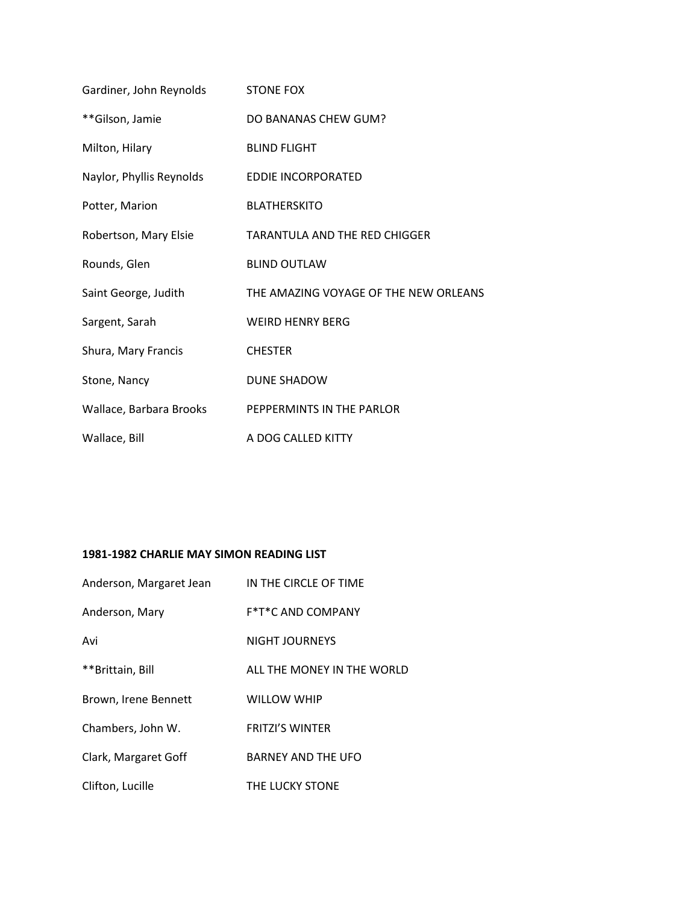| Gardiner, John Reynolds  | <b>STONE FOX</b>                      |
|--------------------------|---------------------------------------|
| **Gilson, Jamie          | DO BANANAS CHEW GUM?                  |
| Milton, Hilary           | <b>BLIND FLIGHT</b>                   |
| Naylor, Phyllis Reynolds | <b>EDDIE INCORPORATED</b>             |
| Potter, Marion           | <b>BLATHERSKITO</b>                   |
| Robertson, Mary Elsie    | <b>TARANTULA AND THE RED CHIGGER</b>  |
| Rounds, Glen             | <b>BLIND OUTLAW</b>                   |
| Saint George, Judith     | THE AMAZING VOYAGE OF THE NEW ORLEANS |
| Sargent, Sarah           | <b>WEIRD HENRY BERG</b>               |
| Shura, Mary Francis      | <b>CHESTER</b>                        |
| Stone, Nancy             | <b>DUNE SHADOW</b>                    |
| Wallace, Barbara Brooks  | PEPPERMINTS IN THE PARLOR             |
| Wallace, Bill            | A DOG CALLED KITTY                    |

# **1981-1982 CHARLIE MAY SIMON READING LIST**

| Anderson, Margaret Jean | IN THE CIRCLE OF TIME      |
|-------------------------|----------------------------|
| Anderson, Mary          | <b>F*T*C AND COMPANY</b>   |
| Avi                     | <b>NIGHT JOURNEYS</b>      |
| **Brittain, Bill        | ALL THE MONEY IN THE WORLD |
| Brown, Irene Bennett    | <b>WILLOW WHIP</b>         |
| Chambers, John W.       | <b>FRITZI'S WINTER</b>     |
| Clark, Margaret Goff    | <b>BARNEY AND THE UFO</b>  |
| Clifton, Lucille        | THE LUCKY STONE            |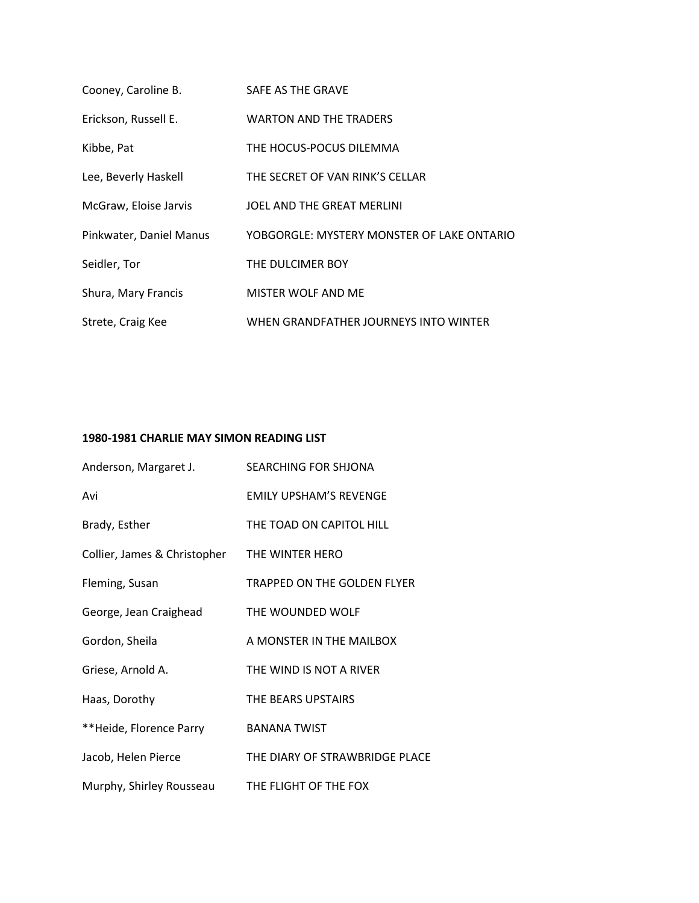| Cooney, Caroline B.     | SAFE AS THE GRAVE                          |
|-------------------------|--------------------------------------------|
| Erickson, Russell E.    | <b>WARTON AND THE TRADERS</b>              |
| Kibbe, Pat              | THE HOCUS-POCUS DILEMMA                    |
| Lee, Beverly Haskell    | THE SECRET OF VAN RINK'S CELLAR            |
| McGraw, Eloise Jarvis   | JOEL AND THE GREAT MERLINI                 |
| Pinkwater, Daniel Manus | YOBGORGLE: MYSTERY MONSTER OF LAKE ONTARIO |
| Seidler, Tor            | THE DULCIMER BOY                           |
| Shura, Mary Francis     | <b>MISTER WOLF AND ME</b>                  |
| Strete, Craig Kee       | WHEN GRANDFATHER JOURNEYS INTO WINTER      |

#### **1980-1981 CHARLIE MAY SIMON READING LIST**

| Anderson, Margaret J.        | SEARCHING FOR SHJONA           |
|------------------------------|--------------------------------|
| Avi                          | <b>EMILY UPSHAM'S REVENGE</b>  |
| Brady, Esther                | THE TOAD ON CAPITOL HILL       |
| Collier, James & Christopher | THE WINTER HERO                |
| Fleming, Susan               | TRAPPED ON THE GOLDEN FLYER    |
| George, Jean Craighead       | THE WOUNDED WOLF               |
| Gordon, Sheila               | A MONSTER IN THE MAILBOX       |
| Griese, Arnold A.            | THE WIND IS NOT A RIVER        |
| Haas, Dorothy                | THE BEARS UPSTAIRS             |
| **Heide, Florence Parry      | <b>BANANA TWIST</b>            |
| Jacob, Helen Pierce          | THE DIARY OF STRAWBRIDGE PLACE |
| Murphy, Shirley Rousseau     | THE FLIGHT OF THE FOX          |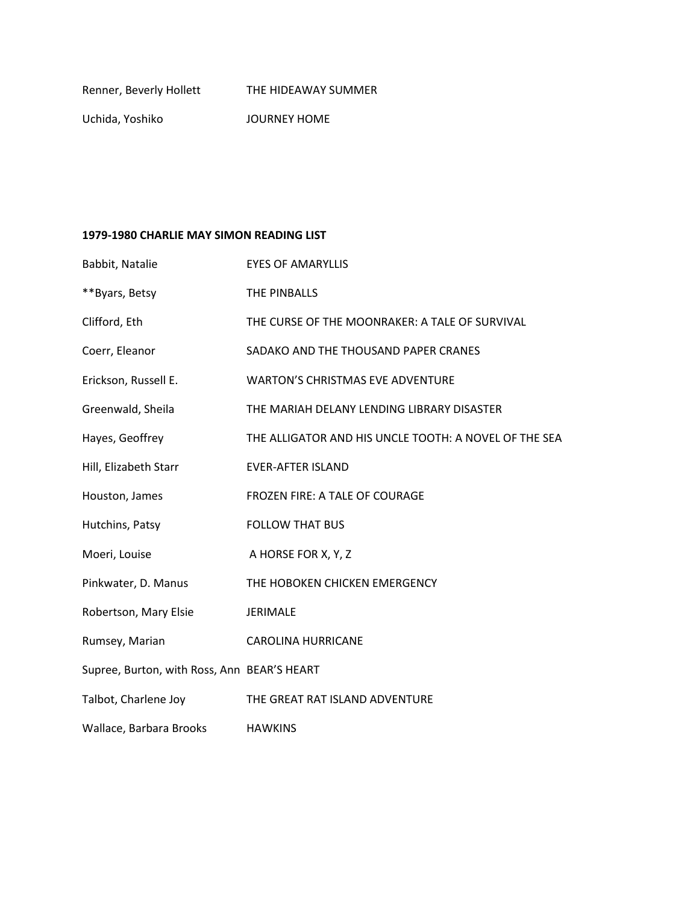Renner, Beverly Hollett THE HIDEAWAY SUMMER

Uchida, Yoshiko JOURNEY HOME

#### **1979-1980 CHARLIE MAY SIMON READING LIST**

| Babbit, Natalie                             | <b>EYES OF AMARYLLIS</b>                              |
|---------------------------------------------|-------------------------------------------------------|
| **Byars, Betsy                              | THE PINBALLS                                          |
| Clifford, Eth                               | THE CURSE OF THE MOONRAKER: A TALE OF SURVIVAL        |
| Coerr, Eleanor                              | SADAKO AND THE THOUSAND PAPER CRANES                  |
| Erickson, Russell E.                        | <b>WARTON'S CHRISTMAS EVE ADVENTURE</b>               |
| Greenwald, Sheila                           | THE MARIAH DELANY LENDING LIBRARY DISASTER            |
| Hayes, Geoffrey                             | THE ALLIGATOR AND HIS UNCLE TOOTH: A NOVEL OF THE SEA |
| Hill, Elizabeth Starr                       | <b>EVER-AFTER ISLAND</b>                              |
| Houston, James                              | <b>FROZEN FIRE: A TALE OF COURAGE</b>                 |
| Hutchins, Patsy                             | <b>FOLLOW THAT BUS</b>                                |
| Moeri, Louise                               | A HORSE FOR X, Y, Z                                   |
| Pinkwater, D. Manus                         | THE HOBOKEN CHICKEN EMERGENCY                         |
| Robertson, Mary Elsie                       | <b>JERIMALE</b>                                       |
| Rumsey, Marian                              | <b>CAROLINA HURRICANE</b>                             |
| Supree, Burton, with Ross, Ann BEAR'S HEART |                                                       |
| Talbot, Charlene Joy                        | THE GREAT RAT ISLAND ADVENTURE                        |
| Wallace, Barbara Brooks                     | <b>HAWKINS</b>                                        |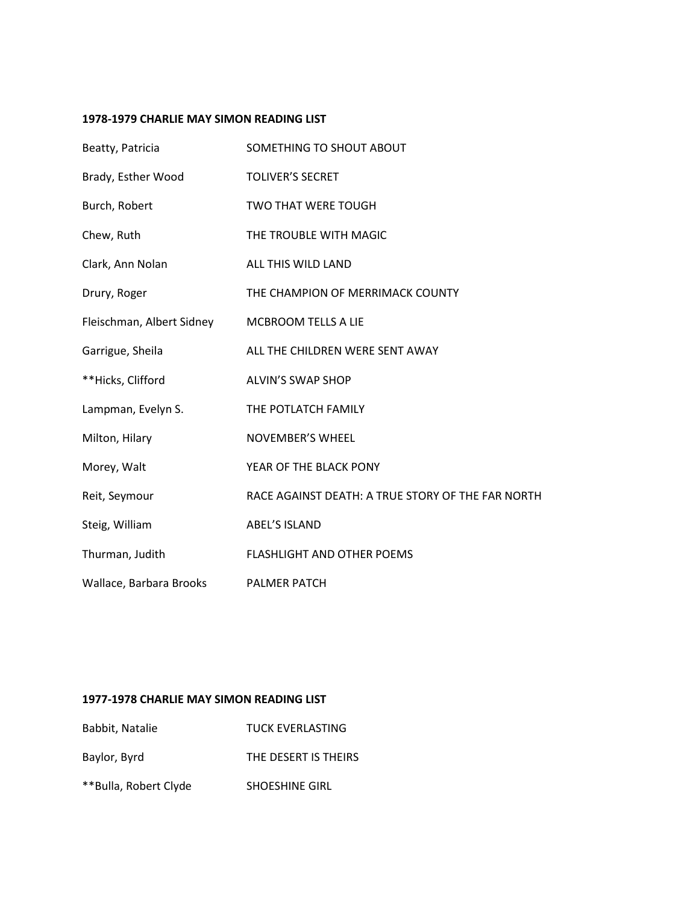## **1978-1979 CHARLIE MAY SIMON READING LIST**

| Beatty, Patricia          | SOMETHING TO SHOUT ABOUT                          |
|---------------------------|---------------------------------------------------|
| Brady, Esther Wood        | <b>TOLIVER'S SECRET</b>                           |
| Burch, Robert             | <b>TWO THAT WERE TOUGH</b>                        |
| Chew, Ruth                | THE TROUBLE WITH MAGIC                            |
| Clark, Ann Nolan          | ALL THIS WILD LAND                                |
| Drury, Roger              | THE CHAMPION OF MERRIMACK COUNTY                  |
| Fleischman, Albert Sidney | <b>MCBROOM TELLS A LIE</b>                        |
| Garrigue, Sheila          | ALL THE CHILDREN WERE SENT AWAY                   |
| **Hicks, Clifford         | ALVIN'S SWAP SHOP                                 |
| Lampman, Evelyn S.        | THE POTLATCH FAMILY                               |
| Milton, Hilary            | NOVEMBER'S WHEEL                                  |
| Morey, Walt               | YEAR OF THE BLACK PONY                            |
| Reit, Seymour             | RACE AGAINST DEATH: A TRUE STORY OF THE FAR NORTH |
| Steig, William            | <b>ABEL'S ISLAND</b>                              |
| Thurman, Judith           | <b>FLASHLIGHT AND OTHER POEMS</b>                 |
| Wallace, Barbara Brooks   | <b>PALMER PATCH</b>                               |

# **1977-1978 CHARLIE MAY SIMON READING LIST**

| Babbit, Natalie       | <b>TUCK EVERLASTING</b> |
|-----------------------|-------------------------|
| Baylor, Byrd          | THE DESERT IS THEIRS    |
| **Bulla, Robert Clyde | <b>SHOESHINE GIRL</b>   |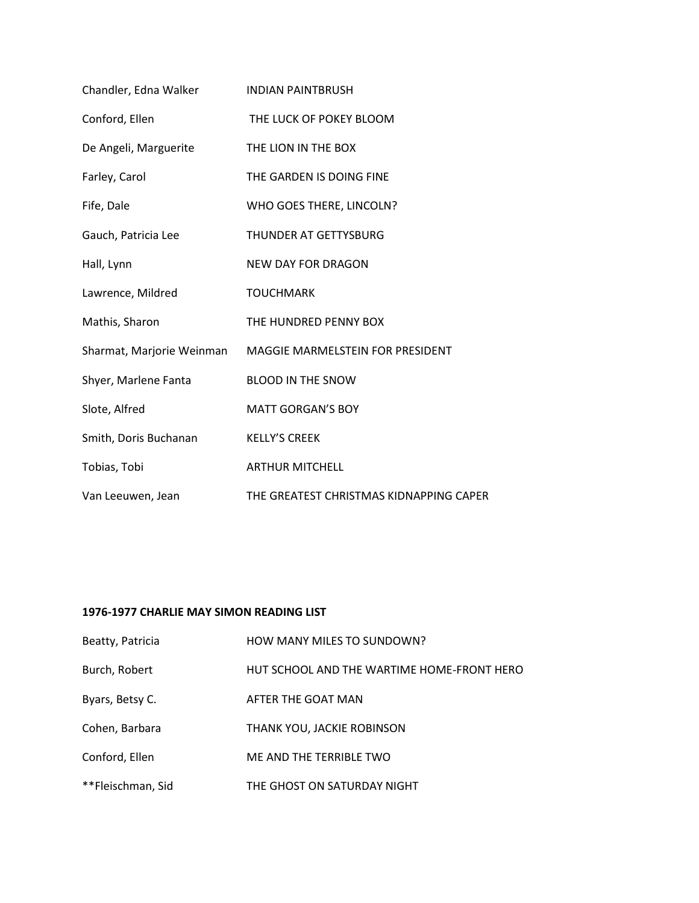| Chandler, Edna Walker     | <b>INDIAN PAINTBRUSH</b>                |
|---------------------------|-----------------------------------------|
| Conford, Ellen            | THE LUCK OF POKEY BLOOM                 |
| De Angeli, Marguerite     | THE LION IN THE BOX                     |
| Farley, Carol             | THE GARDEN IS DOING FINE                |
| Fife, Dale                | WHO GOES THERE, LINCOLN?                |
| Gauch, Patricia Lee       | THUNDER AT GETTYSBURG                   |
| Hall, Lynn                | <b>NEW DAY FOR DRAGON</b>               |
| Lawrence, Mildred         | <b>TOUCHMARK</b>                        |
| Mathis, Sharon            | THE HUNDRED PENNY BOX                   |
| Sharmat, Marjorie Weinman | MAGGIE MARMELSTEIN FOR PRESIDENT        |
| Shyer, Marlene Fanta      | <b>BLOOD IN THE SNOW</b>                |
| Slote, Alfred             | <b>MATT GORGAN'S BOY</b>                |
| Smith, Doris Buchanan     | <b>KELLY'S CREEK</b>                    |
| Tobias, Tobi              | <b>ARTHUR MITCHELL</b>                  |
| Van Leeuwen, Jean         | THE GREATEST CHRISTMAS KIDNAPPING CAPER |

#### **1976-1977 CHARLIE MAY SIMON READING LIST**

| Beatty, Patricia  | HOW MANY MILES TO SUNDOWN?                 |
|-------------------|--------------------------------------------|
| Burch, Robert     | HUT SCHOOL AND THE WARTIME HOME-FRONT HERO |
| Byars, Betsy C.   | AFTER THE GOAT MAN                         |
| Cohen, Barbara    | THANK YOU, JACKIE ROBINSON                 |
| Conford, Ellen    | ME AND THE TERRIBLE TWO                    |
| **Fleischman, Sid | THE GHOST ON SATURDAY NIGHT                |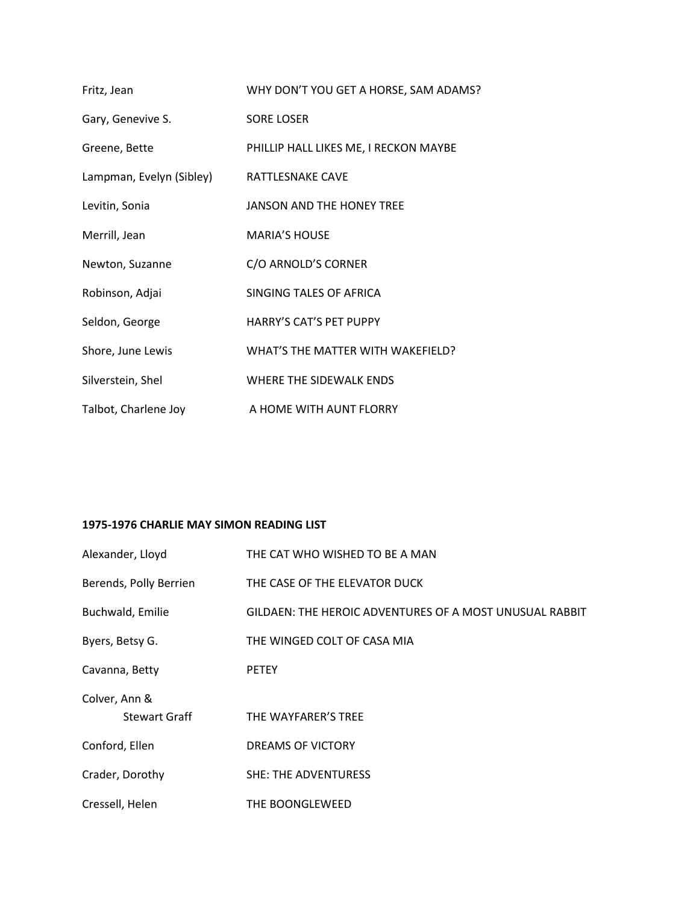| Fritz, Jean              | WHY DON'T YOU GET A HORSE, SAM ADAMS? |
|--------------------------|---------------------------------------|
| Gary, Genevive S.        | <b>SORE LOSER</b>                     |
| Greene, Bette            | PHILLIP HALL LIKES ME, I RECKON MAYBE |
| Lampman, Evelyn (Sibley) | <b>RATTLESNAKE CAVE</b>               |
| Levitin, Sonia           | <b>JANSON AND THE HONEY TREE</b>      |
| Merrill, Jean            | <b>MARIA'S HOUSE</b>                  |
| Newton, Suzanne          | C/O ARNOLD'S CORNER                   |
| Robinson, Adjai          | SINGING TALES OF AFRICA               |
| Seldon, George           | <b>HARRY'S CAT'S PET PUPPY</b>        |
| Shore, June Lewis        | WHAT'S THE MATTER WITH WAKEFIELD?     |
| Silverstein, Shel        | WHERE THE SIDEWALK FNDS               |
| Talbot, Charlene Joy     | A HOME WITH AUNT FLORRY               |

## **1975-1976 CHARLIE MAY SIMON READING LIST**

| Alexander, Lloyd       | THE CAT WHO WISHED TO BE A MAN                          |
|------------------------|---------------------------------------------------------|
| Berends, Polly Berrien | THE CASE OF THE ELEVATOR DUCK                           |
| Buchwald, Emilie       | GILDAEN: THE HEROIC ADVENTURES OF A MOST UNUSUAL RABBIT |
| Byers, Betsy G.        | THE WINGED COLT OF CASA MIA                             |
| Cavanna, Betty         | <b>PETEY</b>                                            |
| Colver, Ann &          |                                                         |
| <b>Stewart Graff</b>   | THE WAYFARER'S TREE                                     |
| Conford, Ellen         | <b>DREAMS OF VICTORY</b>                                |
| Crader, Dorothy        | <b>SHE: THE ADVENTURESS</b>                             |
| Cressell, Helen        | THE BOONGLEWEED                                         |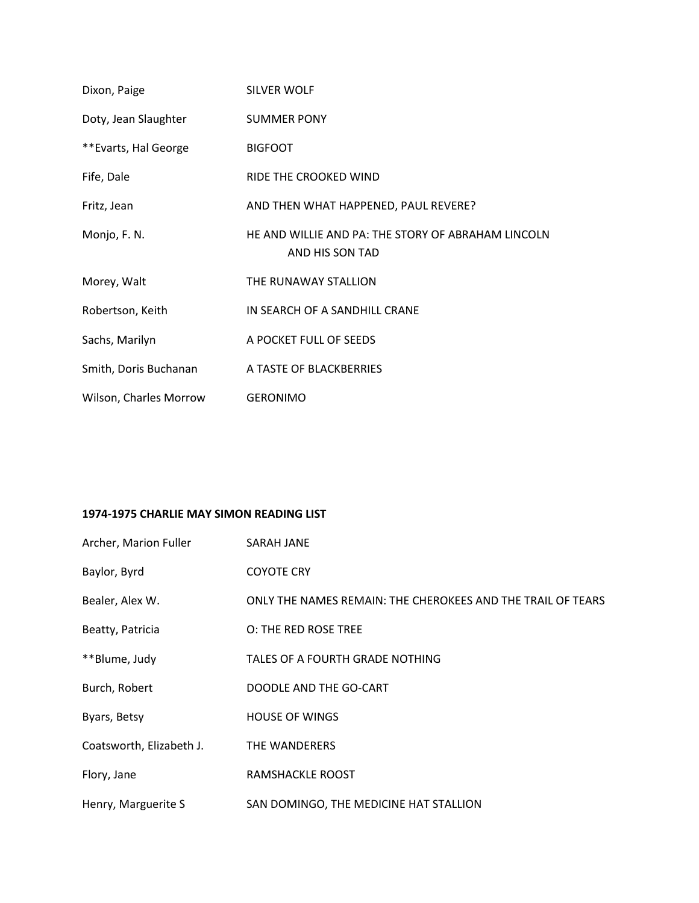| Dixon, Paige           | <b>SILVER WOLF</b>                                                    |
|------------------------|-----------------------------------------------------------------------|
| Doty, Jean Slaughter   | <b>SUMMER PONY</b>                                                    |
| **Evarts, Hal George   | <b>BIGFOOT</b>                                                        |
| Fife, Dale             | RIDE THE CROOKED WIND                                                 |
| Fritz, Jean            | AND THEN WHAT HAPPENED, PAUL REVERE?                                  |
| Monjo, F. N.           | HE AND WILLIE AND PA: THE STORY OF ABRAHAM LINCOLN<br>AND HIS SON TAD |
| Morey, Walt            | THE RUNAWAY STALLION                                                  |
| Robertson, Keith       | IN SEARCH OF A SANDHILL CRANE                                         |
| Sachs, Marilyn         | A POCKET FULL OF SEEDS                                                |
| Smith, Doris Buchanan  | A TASTE OF BLACKBERRIES                                               |
| Wilson, Charles Morrow | <b>GERONIMO</b>                                                       |

#### **1974-1975 CHARLIE MAY SIMON READING LIST**

| Archer, Marion Fuller    | SARAH JANE                                                  |
|--------------------------|-------------------------------------------------------------|
| Baylor, Byrd             | <b>COYOTE CRY</b>                                           |
| Bealer, Alex W.          | ONLY THE NAMES REMAIN: THE CHEROKEES AND THE TRAIL OF TEARS |
| Beatty, Patricia         | O: THE RED ROSE TREE                                        |
| **Blume, Judy            | TALES OF A FOURTH GRADE NOTHING                             |
| Burch, Robert            | DOODLE AND THE GO-CART                                      |
| Byars, Betsy             | <b>HOUSE OF WINGS</b>                                       |
| Coatsworth, Elizabeth J. | THE WANDERERS                                               |
| Flory, Jane              | RAMSHACKLE ROOST                                            |
| Henry, Marguerite S      | SAN DOMINGO, THE MEDICINE HAT STALLION                      |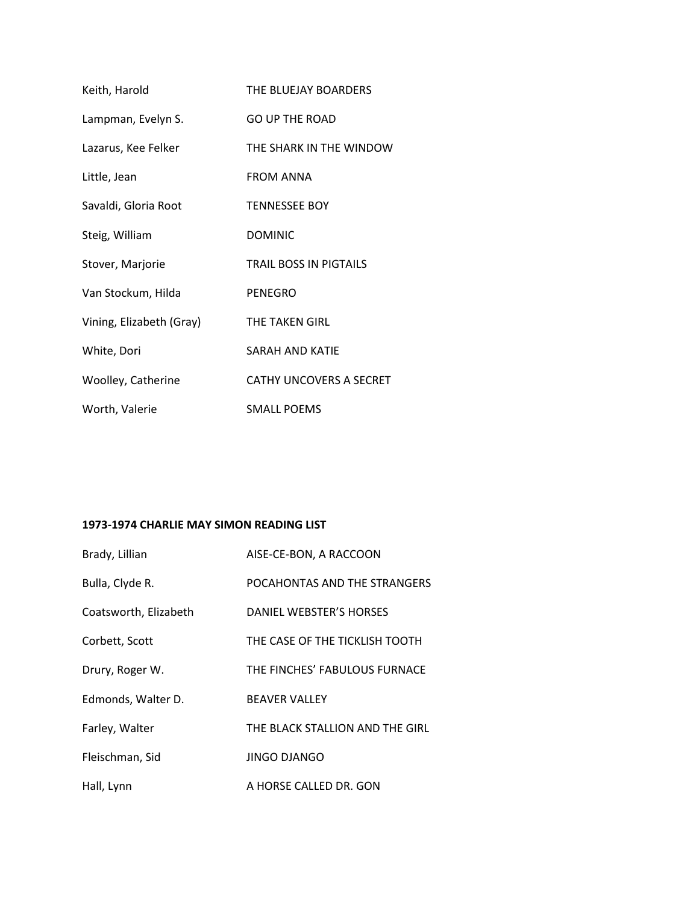| Keith, Harold            | THE BLUEJAY BOARDERS          |
|--------------------------|-------------------------------|
| Lampman, Evelyn S.       | <b>GO UP THE ROAD</b>         |
| Lazarus, Kee Felker      | THE SHARK IN THE WINDOW       |
| Little, Jean             | <b>FROM ANNA</b>              |
| Savaldi, Gloria Root     | <b>TENNESSEE BOY</b>          |
| Steig, William           | <b>DOMINIC</b>                |
| Stover, Marjorie         | <b>TRAIL BOSS IN PIGTAILS</b> |
| Van Stockum, Hilda       | PENEGRO                       |
| Vining, Elizabeth (Gray) | <b>THE TAKEN GIRL</b>         |
| White, Dori              | SARAH AND KATIF               |
| Woolley, Catherine       | CATHY UNCOVERS A SECRET       |
| Worth, Valerie           | <b>SMALL POEMS</b>            |

#### **1973-1974 CHARLIE MAY SIMON READING LIST**

| Brady, Lillian        | AISE-CE-BON, A RACCOON          |
|-----------------------|---------------------------------|
| Bulla, Clyde R.       | POCAHONTAS AND THE STRANGERS    |
| Coatsworth, Elizabeth | DANIFL WEBSTER'S HORSES         |
| Corbett, Scott        | THE CASE OF THE TICKLISH TOOTH  |
| Drury, Roger W.       | THE FINCHES' FABULOUS FURNACE   |
| Edmonds, Walter D.    | <b>BFAVER VALLEY</b>            |
| Farley, Walter        | THE BLACK STALLION AND THE GIRL |
| Fleischman, Sid       | JINGO DJANGO                    |
| Hall, Lynn            | A HORSE CALLED DR. GON          |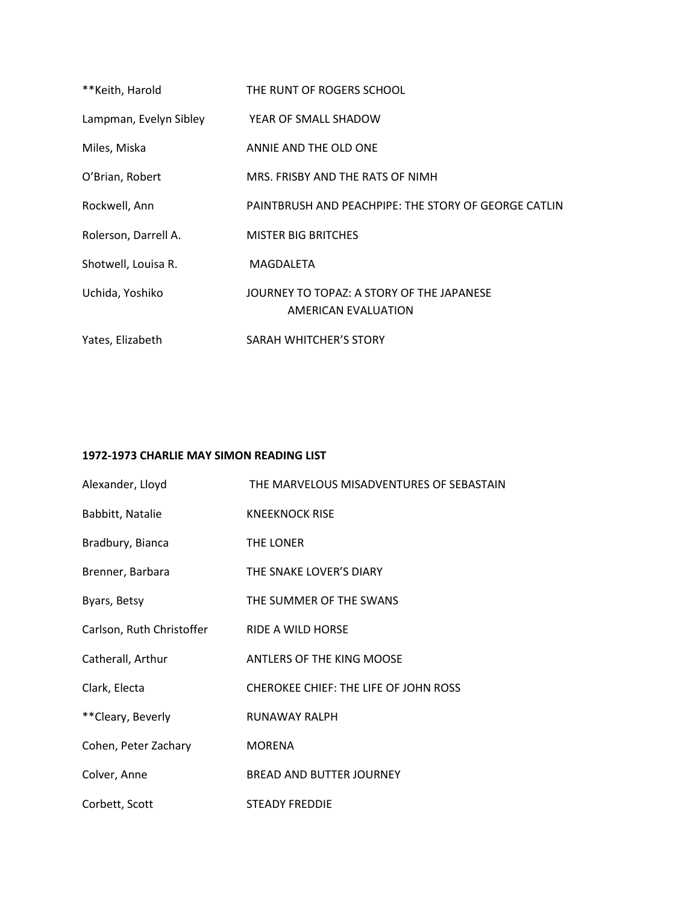| ** Keith, Harold       | THE RUNT OF ROGERS SCHOOL                                               |
|------------------------|-------------------------------------------------------------------------|
| Lampman, Evelyn Sibley | YEAR OF SMALL SHADOW                                                    |
| Miles, Miska           | ANNIE AND THE OLD ONE                                                   |
| O'Brian, Robert        | MRS. FRISBY AND THE RATS OF NIMH                                        |
| Rockwell, Ann          | PAINTBRUSH AND PEACHPIPE: THE STORY OF GEORGE CATLIN                    |
| Rolerson, Darrell A.   | <b>MISTER BIG BRITCHES</b>                                              |
| Shotwell, Louisa R.    | MAGDALETA                                                               |
| Uchida, Yoshiko        | JOURNEY TO TOPAZ: A STORY OF THE JAPANESE<br><b>AMERICAN EVALUATION</b> |
| Yates, Elizabeth       | SARAH WHITCHER'S STORY                                                  |

## **1972-1973 CHARLIE MAY SIMON READING LIST**

| Alexander, Lloyd          | THE MARVELOUS MISADVENTURES OF SEBASTAIN |
|---------------------------|------------------------------------------|
| Babbitt, Natalie          | <b>KNEEKNOCK RISE</b>                    |
| Bradbury, Bianca          | THE LONER                                |
| Brenner, Barbara          | THE SNAKE LOVER'S DIARY                  |
| Byars, Betsy              | THE SUMMER OF THE SWANS                  |
| Carlson, Ruth Christoffer | RIDE A WILD HORSE                        |
| Catherall, Arthur         | <b>ANTLERS OF THE KING MOOSE</b>         |
| Clark, Electa             | CHEROKEE CHIEF: THE LIFE OF JOHN ROSS    |
| **Cleary, Beverly         | RUNAWAY RALPH                            |
| Cohen, Peter Zachary      | <b>MORENA</b>                            |
| Colver, Anne              | <b>BREAD AND BUTTER JOURNEY</b>          |
| Corbett, Scott            | <b>STEADY FREDDIE</b>                    |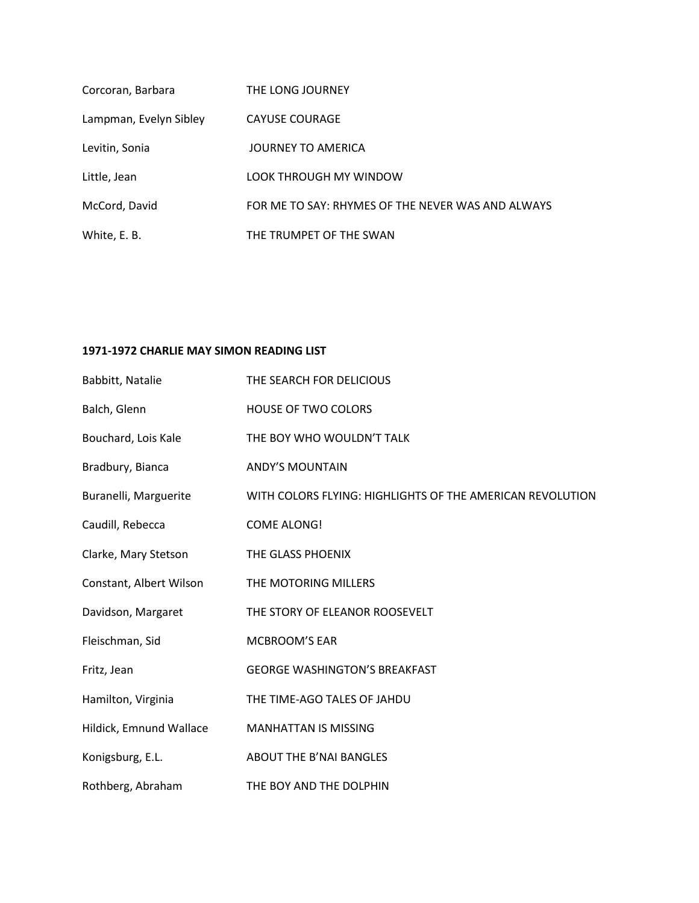| Corcoran, Barbara      | THE LONG JOURNEY                                  |
|------------------------|---------------------------------------------------|
| Lampman, Evelyn Sibley | <b>CAYUSE COURAGE</b>                             |
| Levitin, Sonia         | JOURNEY TO AMERICA                                |
| Little, Jean           | LOOK THROUGH MY WINDOW                            |
| McCord, David          | FOR ME TO SAY: RHYMES OF THE NEVER WAS AND ALWAYS |
| White, E. B.           | THE TRUMPET OF THE SWAN                           |

#### **1971-1972 CHARLIE MAY SIMON READING LIST**

| Babbitt, Natalie        | THE SEARCH FOR DELICIOUS                                  |
|-------------------------|-----------------------------------------------------------|
| Balch, Glenn            | <b>HOUSE OF TWO COLORS</b>                                |
| Bouchard, Lois Kale     | THE BOY WHO WOULDN'T TALK                                 |
| Bradbury, Bianca        | <b>ANDY'S MOUNTAIN</b>                                    |
| Buranelli, Marguerite   | WITH COLORS FLYING: HIGHLIGHTS OF THE AMERICAN REVOLUTION |
| Caudill, Rebecca        | <b>COME ALONG!</b>                                        |
| Clarke, Mary Stetson    | THE GLASS PHOENIX                                         |
| Constant, Albert Wilson | THE MOTORING MILLERS                                      |
| Davidson, Margaret      | THE STORY OF ELEANOR ROOSEVELT                            |
| Fleischman, Sid         | <b>MCBROOM'S EAR</b>                                      |
| Fritz, Jean             | <b>GEORGE WASHINGTON'S BREAKFAST</b>                      |
| Hamilton, Virginia      | THE TIME-AGO TALES OF JAHDU                               |
| Hildick, Emnund Wallace | <b>MANHATTAN IS MISSING</b>                               |
| Konigsburg, E.L.        | <b>ABOUT THE B'NAI BANGLES</b>                            |
| Rothberg, Abraham       | THE BOY AND THE DOLPHIN                                   |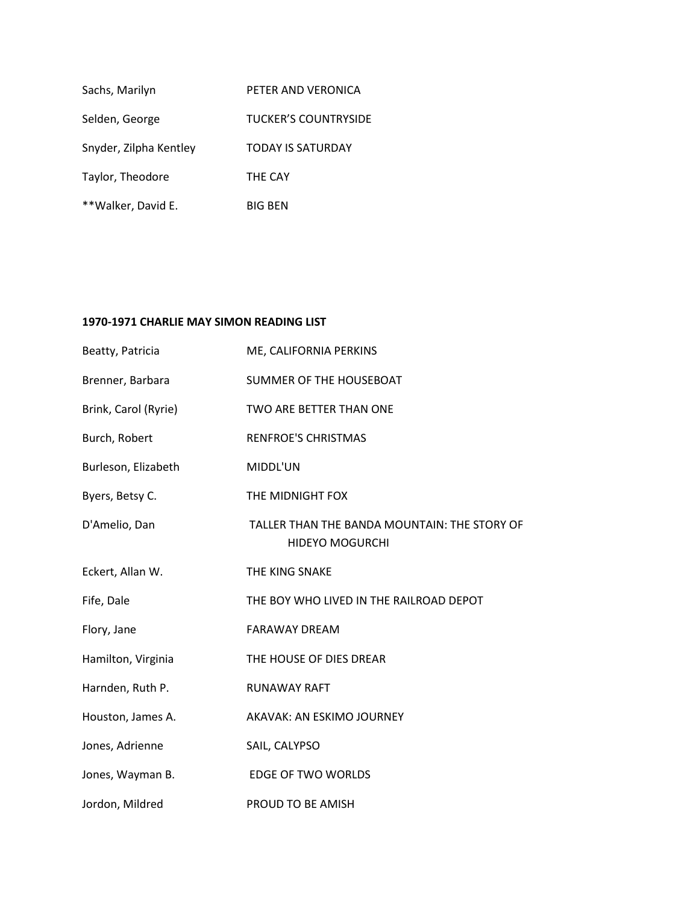| Sachs, Marilyn         | PETER AND VERONICA          |
|------------------------|-----------------------------|
| Selden, George         | <b>TUCKER'S COUNTRYSIDE</b> |
| Snyder, Zilpha Kentley | <b>TODAY IS SATURDAY</b>    |
| Taylor, Theodore       | THE CAY                     |
| **Walker, David E.     | <b>BIG BEN</b>              |

## **1970-1971 CHARLIE MAY SIMON READING LIST**

| Beatty, Patricia     | ME, CALIFORNIA PERKINS                                                 |
|----------------------|------------------------------------------------------------------------|
| Brenner, Barbara     | <b>SUMMER OF THE HOUSEBOAT</b>                                         |
| Brink, Carol (Ryrie) | TWO ARE BETTER THAN ONE                                                |
| Burch, Robert        | <b>RENFROE'S CHRISTMAS</b>                                             |
| Burleson, Elizabeth  | MIDDL'UN                                                               |
| Byers, Betsy C.      | THE MIDNIGHT FOX                                                       |
| D'Amelio, Dan        | TALLER THAN THE BANDA MOUNTAIN: THE STORY OF<br><b>HIDEYO MOGURCHI</b> |
| Eckert, Allan W.     | THE KING SNAKE                                                         |
| Fife, Dale           | THE BOY WHO LIVED IN THE RAILROAD DEPOT                                |
| Flory, Jane          | <b>FARAWAY DREAM</b>                                                   |
| Hamilton, Virginia   | THE HOUSE OF DIES DREAR                                                |
| Harnden, Ruth P.     | <b>RUNAWAY RAFT</b>                                                    |
| Houston, James A.    | AKAVAK: AN ESKIMO JOURNEY                                              |
| Jones, Adrienne      | SAIL, CALYPSO                                                          |
| Jones, Wayman B.     | EDGE OF TWO WORLDS                                                     |
| Jordon, Mildred      | PROUD TO BE AMISH                                                      |